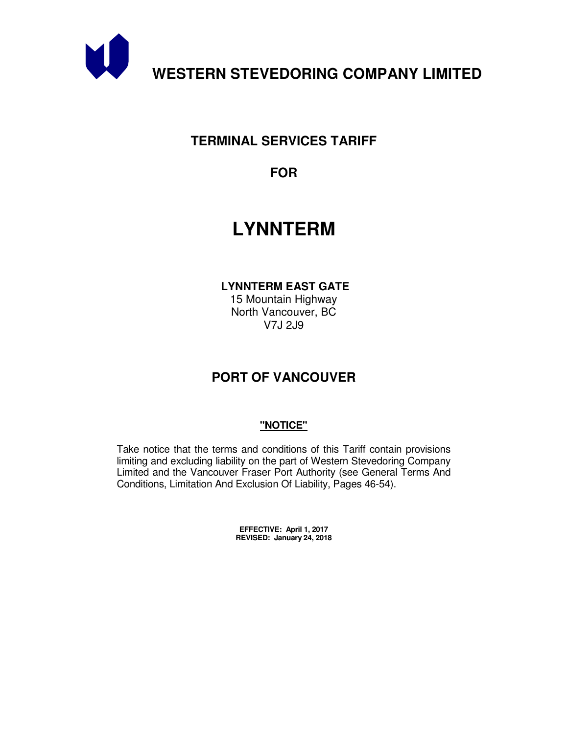

# **TERMINAL SERVICES TARIFF**

**FOR** 

# **LYNNTERM**

 **LYNNTERM EAST GATE** 

15 Mountain Highway North Vancouver, BC V7J 2J9

# **PORT OF VANCOUVER**

## **"NOTICE"**

Take notice that the terms and conditions of this Tariff contain provisions limiting and excluding liability on the part of Western Stevedoring Company Limited and the Vancouver Fraser Port Authority (see General Terms And Conditions, Limitation And Exclusion Of Liability, Pages 46-54).

> **EFFECTIVE: April 1, 2017 REVISED: January 24, 2018**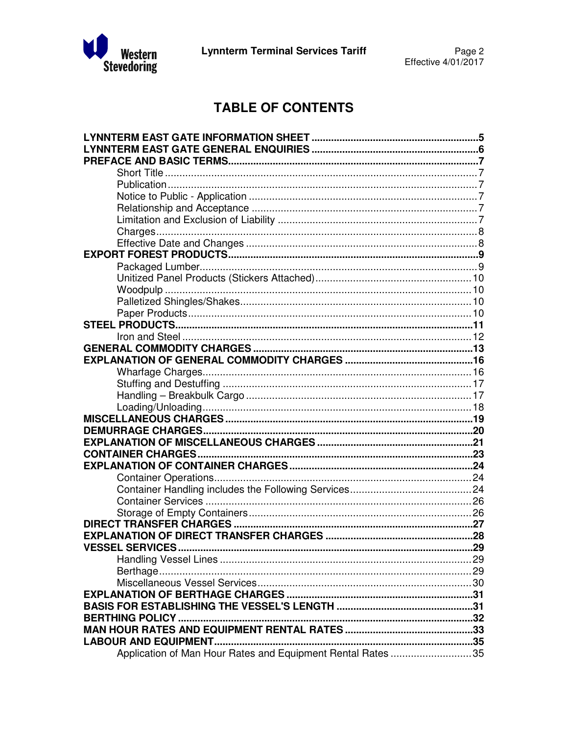

# **TABLE OF CONTENTS**

| <b>VESSEL SERVICES</b><br>$\sim$ 29                         |  |
|-------------------------------------------------------------|--|
|                                                             |  |
|                                                             |  |
|                                                             |  |
|                                                             |  |
|                                                             |  |
|                                                             |  |
|                                                             |  |
|                                                             |  |
| Application of Man Hour Rates and Equipment Rental Rates 35 |  |
|                                                             |  |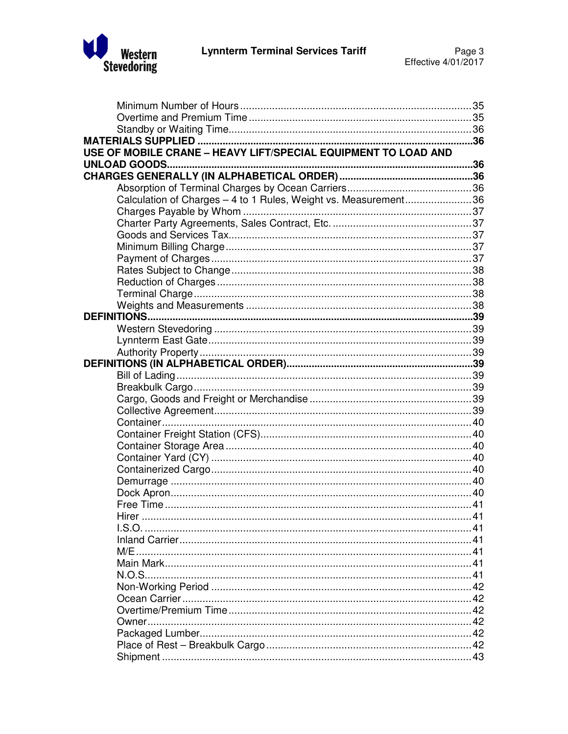

| USE OF MOBILE CRANE - HEAVY LIFT/SPECIAL EQUIPMENT TO LOAD AND  |  |
|-----------------------------------------------------------------|--|
|                                                                 |  |
|                                                                 |  |
|                                                                 |  |
| Calculation of Charges - 4 to 1 Rules, Weight vs. Measurement36 |  |
|                                                                 |  |
|                                                                 |  |
|                                                                 |  |
|                                                                 |  |
|                                                                 |  |
|                                                                 |  |
|                                                                 |  |
|                                                                 |  |
|                                                                 |  |
|                                                                 |  |
|                                                                 |  |
|                                                                 |  |
|                                                                 |  |
|                                                                 |  |
|                                                                 |  |
|                                                                 |  |
|                                                                 |  |
|                                                                 |  |
|                                                                 |  |
|                                                                 |  |
|                                                                 |  |
|                                                                 |  |
|                                                                 |  |
|                                                                 |  |
|                                                                 |  |
|                                                                 |  |
| Hir≏r                                                           |  |
|                                                                 |  |
|                                                                 |  |
|                                                                 |  |
|                                                                 |  |
|                                                                 |  |
|                                                                 |  |
|                                                                 |  |
|                                                                 |  |
|                                                                 |  |
|                                                                 |  |
|                                                                 |  |
|                                                                 |  |
|                                                                 |  |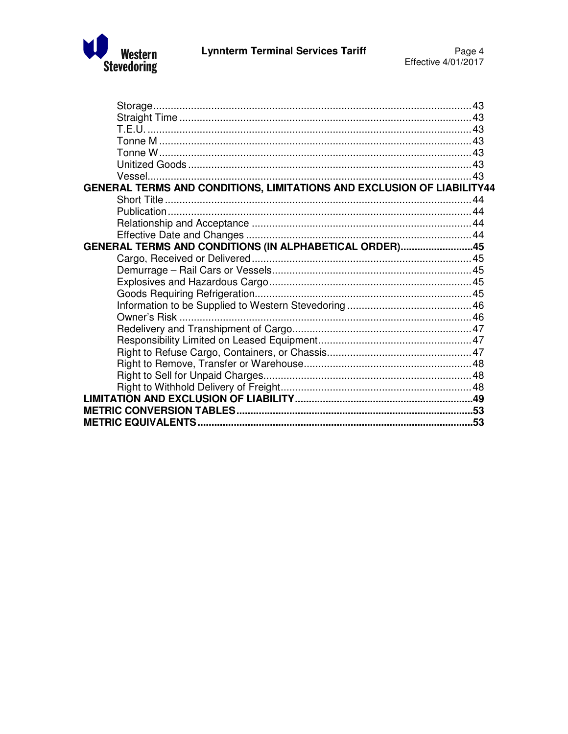

| GENERAL TERMS AND CONDITIONS, LIMITATIONS AND EXCLUSION OF LIABILITY44 |  |
|------------------------------------------------------------------------|--|
|                                                                        |  |
|                                                                        |  |
|                                                                        |  |
|                                                                        |  |
| GENERAL TERMS AND CONDITIONS (IN ALPHABETICAL ORDER)45                 |  |
|                                                                        |  |
|                                                                        |  |
|                                                                        |  |
|                                                                        |  |
|                                                                        |  |
|                                                                        |  |
|                                                                        |  |
|                                                                        |  |
|                                                                        |  |
|                                                                        |  |
|                                                                        |  |
|                                                                        |  |
|                                                                        |  |
|                                                                        |  |
|                                                                        |  |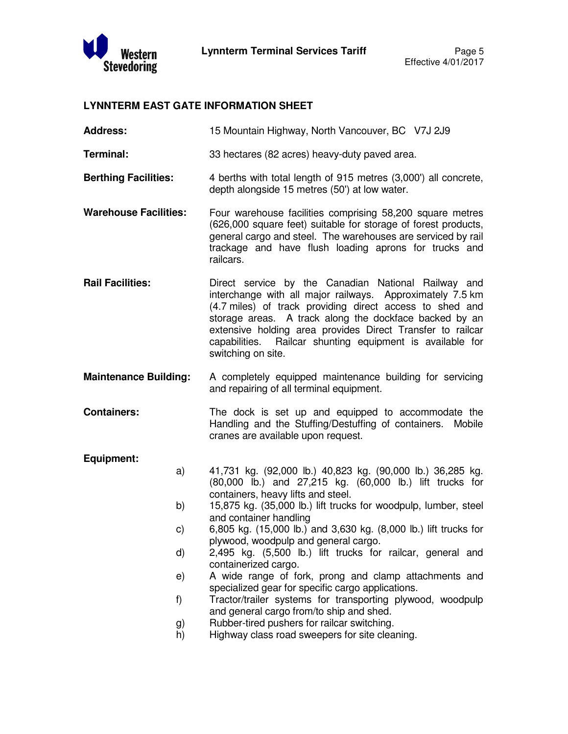

## **LYNNTERM EAST GATE INFORMATION SHEET**

**Address:** 15 Mountain Highway, North Vancouver, BC V7J 2J9

**Terminal:** 33 hectares (82 acres) heavy-duty paved area.

- **Berthing Facilities:** 4 berths with total length of 915 metres (3,000') all concrete, depth alongside 15 metres (50') at low water.
- **Warehouse Facilities:** Four warehouse facilities comprising 58,200 square metres (626,000 square feet) suitable for storage of forest products, general cargo and steel. The warehouses are serviced by rail trackage and have flush loading aprons for trucks and railcars.
- **Rail Facilities:** Direct service by the Canadian National Railway and interchange with all major railways. Approximately 7.5 km (4.7 miles) of track providing direct access to shed and storage areas. A track along the dockface backed by an extensive holding area provides Direct Transfer to railcar capabilities. Railcar shunting equipment is available for switching on site.
- **Maintenance Building:** A completely equipped maintenance building for servicing and repairing of all terminal equipment.
- **Containers:** The dock is set up and equipped to accommodate the Handling and the Stuffing/Destuffing of containers. Mobile cranes are available upon request.

#### **Equipment:**

- a) 41,731 kg. (92,000 lb.) 40,823 kg. (90,000 lb.) 36,285 kg. (80,000 lb.) and 27,215 kg. (60,000 lb.) lift trucks for containers, heavy lifts and steel.
	- b) 15,875 kg. (35,000 lb.) lift trucks for woodpulp, lumber, steel and container handling
	- c) 6,805 kg. (15,000 lb.) and 3,630 kg. (8,000 lb.) lift trucks for plywood, woodpulp and general cargo.
	- d) 2,495 kg. (5,500 lb.) lift trucks for railcar, general and containerized cargo.
	- e) A wide range of fork, prong and clamp attachments and specialized gear for specific cargo applications.
	- f) Tractor/trailer systems for transporting plywood, woodpulp and general cargo from/to ship and shed.
	- g) Rubber-tired pushers for railcar switching.
	- h) Highway class road sweepers for site cleaning.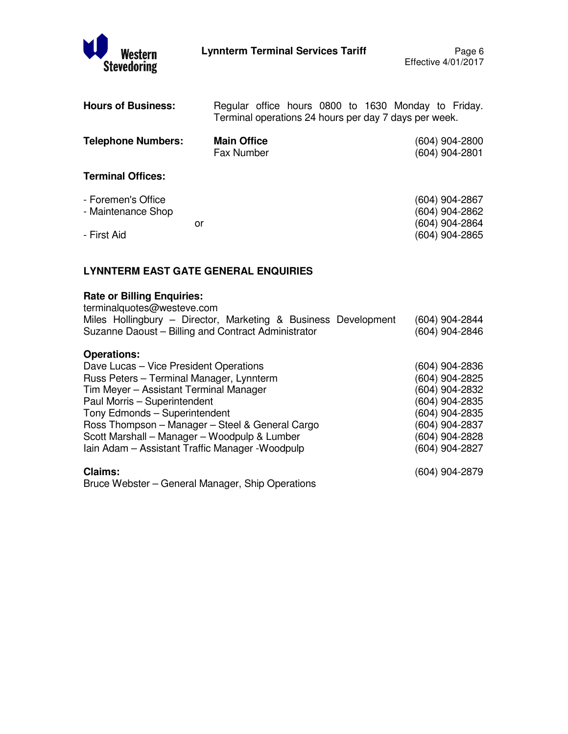

| <b>Hours of Business:</b>                |                                  | Regular office hours 0800 to 1630 Monday to Friday.<br>Terminal operations 24 hours per day 7 days per week. |
|------------------------------------------|----------------------------------|--------------------------------------------------------------------------------------------------------------|
| <b>Telephone Numbers:</b>                | <b>Main Office</b><br>Fax Number | (604) 904-2800<br>(604) 904-2801                                                                             |
| <b>Terminal Offices:</b>                 |                                  |                                                                                                              |
| - Foremen's Office<br>- Maintenance Shop | or                               | (604) 904-2867<br>(604) 904-2862<br>(604) 904-2864                                                           |
| - First Aid                              |                                  | (604) 904-2865                                                                                               |

## **LYNNTERM EAST GATE GENERAL ENQUIRIES**

## **Rate or Billing Enquiries:**

| terminalquotes@westeve.com                                     |                |
|----------------------------------------------------------------|----------------|
| Miles Hollingbury - Director, Marketing & Business Development | (604) 904-2844 |
| Suzanne Daoust - Billing and Contract Administrator            | (604) 904-2846 |
| <b>Operations:</b>                                             |                |
| Dave Lucas – Vice President Operations                         | (604) 904-2836 |
| Russ Peters - Terminal Manager, Lynnterm                       | (604) 904-2825 |
| Tim Meyer - Assistant Terminal Manager                         | (604) 904-2832 |
| Paul Morris - Superintendent                                   | (604) 904-2835 |
| Tony Edmonds - Superintendent                                  | (604) 904-2835 |
| Ross Thompson - Manager - Steel & General Cargo                | (604) 904-2837 |
| Scott Marshall - Manager - Woodpulp & Lumber                   | (604) 904-2828 |
| Iain Adam - Assistant Traffic Manager - Woodpulp               | (604) 904-2827 |
| <b>Claims:</b>                                                 | (604) 904-2879 |
| Bruce Webster – General Manager, Ship Operations               |                |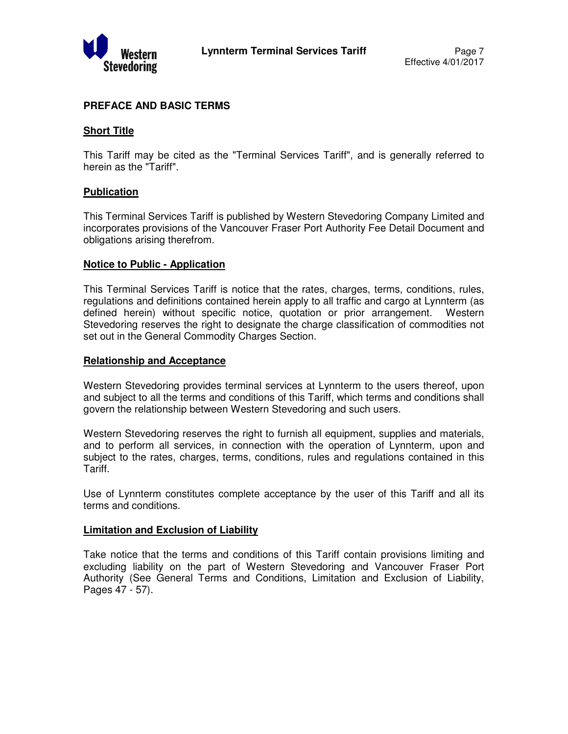

## **PREFACE AND BASIC TERMS**

#### **Short Title**

This Tariff may be cited as the "Terminal Services Tariff", and is generally referred to herein as the "Tariff".

### **Publication**

This Terminal Services Tariff is published by Western Stevedoring Company Limited and incorporates provisions of the Vancouver Fraser Port Authority Fee Detail Document and obligations arising therefrom.

#### **Notice to Public - Application**

This Terminal Services Tariff is notice that the rates, charges, terms, conditions, rules, regulations and definitions contained herein apply to all traffic and cargo at Lynnterm (as defined herein) without specific notice, quotation or prior arrangement. Western Stevedoring reserves the right to designate the charge classification of commodities not set out in the General Commodity Charges Section.

#### **Relationship and Acceptance**

Western Stevedoring provides terminal services at Lynnterm to the users thereof, upon and subject to all the terms and conditions of this Tariff, which terms and conditions shall govern the relationship between Western Stevedoring and such users.

Western Stevedoring reserves the right to furnish all equipment, supplies and materials, and to perform all services, in connection with the operation of Lynnterm, upon and subject to the rates, charges, terms, conditions, rules and regulations contained in this Tariff.

Use of Lynnterm constitutes complete acceptance by the user of this Tariff and all its terms and conditions.

#### **Limitation and Exclusion of Liability**

Take notice that the terms and conditions of this Tariff contain provisions limiting and excluding liability on the part of Western Stevedoring and Vancouver Fraser Port Authority (See General Terms and Conditions, Limitation and Exclusion of Liability, Pages 47 - 57).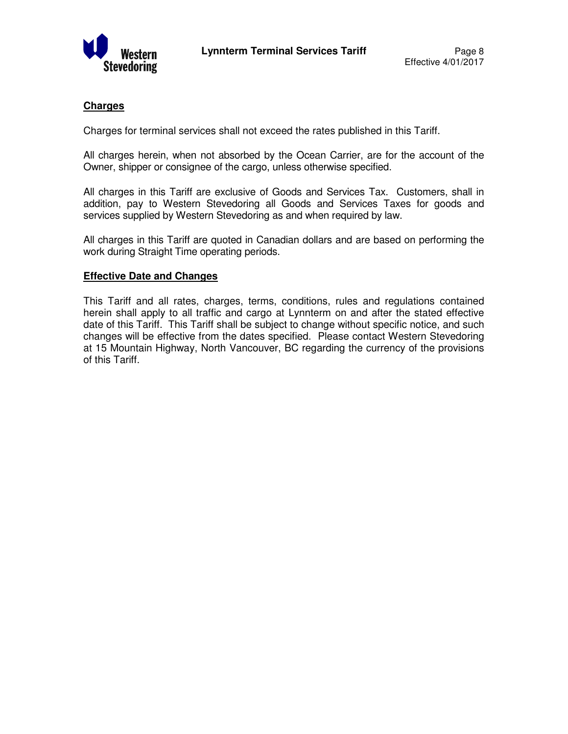

## **Charges**

Charges for terminal services shall not exceed the rates published in this Tariff.

All charges herein, when not absorbed by the Ocean Carrier, are for the account of the Owner, shipper or consignee of the cargo, unless otherwise specified.

All charges in this Tariff are exclusive of Goods and Services Tax. Customers, shall in addition, pay to Western Stevedoring all Goods and Services Taxes for goods and services supplied by Western Stevedoring as and when required by law.

All charges in this Tariff are quoted in Canadian dollars and are based on performing the work during Straight Time operating periods.

#### **Effective Date and Changes**

This Tariff and all rates, charges, terms, conditions, rules and regulations contained herein shall apply to all traffic and cargo at Lynnterm on and after the stated effective date of this Tariff. This Tariff shall be subject to change without specific notice, and such changes will be effective from the dates specified. Please contact Western Stevedoring at 15 Mountain Highway, North Vancouver, BC regarding the currency of the provisions of this Tariff.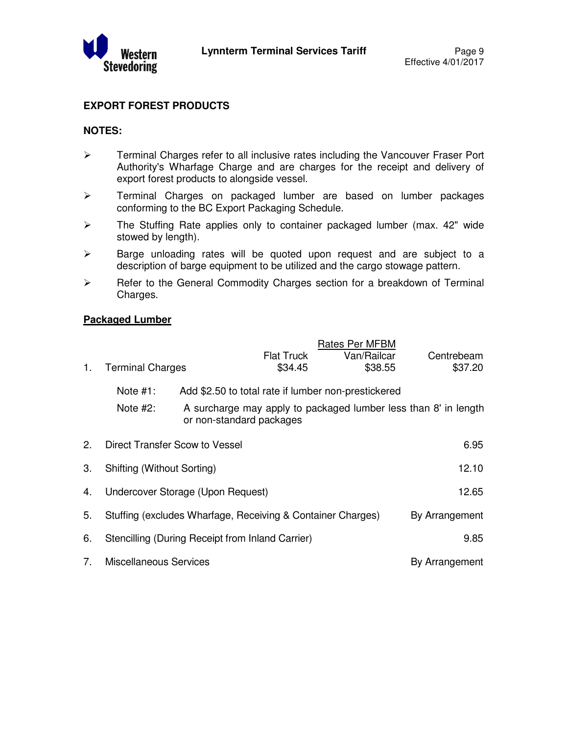

## **EXPORT FOREST PRODUCTS**

#### **NOTES:**

- $\triangleright$  Terminal Charges refer to all inclusive rates including the Vancouver Fraser Port Authority's Wharfage Charge and are charges for the receipt and delivery of export forest products to alongside vessel.
- > Terminal Charges on packaged lumber are based on lumber packages conforming to the BC Export Packaging Schedule.
- > The Stuffing Rate applies only to container packaged lumber (max. 42" wide stowed by length).
- $\triangleright$  Barge unloading rates will be quoted upon request and are subject to a description of barge equipment to be utilized and the cargo stowage pattern.
- $\triangleright$  Refer to the General Commodity Charges section for a breakdown of Terminal Charges.

## **Packaged Lumber**

|    |                            |                                                                                 |                   | Rates Per MFBM |                                                                 |
|----|----------------------------|---------------------------------------------------------------------------------|-------------------|----------------|-----------------------------------------------------------------|
|    |                            |                                                                                 | <b>Flat Truck</b> | Van/Railcar    | Centrebeam                                                      |
| 1. | <b>Terminal Charges</b>    |                                                                                 | \$34.45           | \$38.55        | \$37.20                                                         |
|    | Note $#1$ :<br>Note $#2$ : | Add \$2.50 to total rate if lumber non-prestickered<br>or non-standard packages |                   |                | A surcharge may apply to packaged lumber less than 8' in length |
| 2. |                            | Direct Transfer Scow to Vessel                                                  |                   |                | 6.95                                                            |
| 3. | Shifting (Without Sorting) |                                                                                 |                   |                | 12.10                                                           |
| 4. |                            | Undercover Storage (Upon Request)                                               |                   |                | 12.65                                                           |
| 5. |                            | Stuffing (excludes Wharfage, Receiving & Container Charges)                     |                   |                | By Arrangement                                                  |
| 6. |                            | Stencilling (During Receipt from Inland Carrier)                                |                   |                | 9.85                                                            |
| 7. | Miscellaneous Services     |                                                                                 |                   |                | By Arrangement                                                  |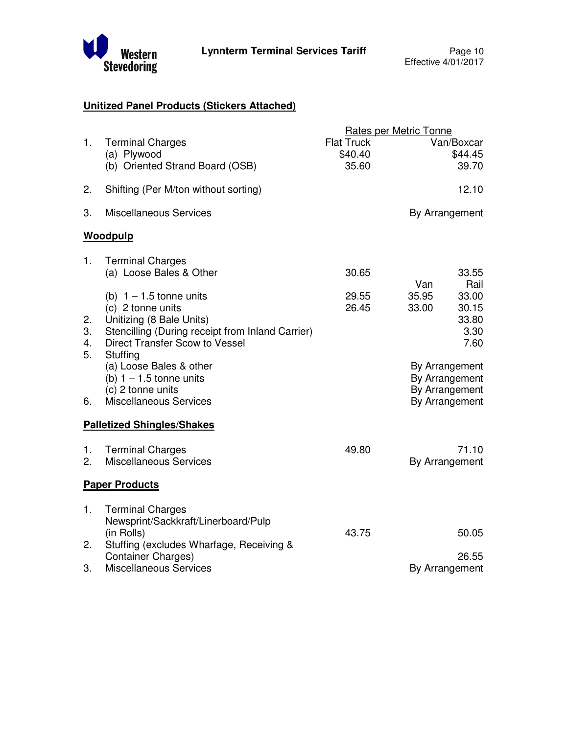

## **Unitized Panel Products (Stickers Attached)**

|                      |                                                                                                                                                                              |                                       | <b>Rates per Metric Tonne</b>                                            |
|----------------------|------------------------------------------------------------------------------------------------------------------------------------------------------------------------------|---------------------------------------|--------------------------------------------------------------------------|
| 1.                   | <b>Terminal Charges</b><br>(a) Plywood<br>(b) Oriented Strand Board (OSB)                                                                                                    | <b>Flat Truck</b><br>\$40.40<br>35.60 | Van/Boxcar<br>\$44.45<br>39.70                                           |
| 2.                   | Shifting (Per M/ton without sorting)                                                                                                                                         |                                       | 12.10                                                                    |
| 3.                   | <b>Miscellaneous Services</b>                                                                                                                                                |                                       | By Arrangement                                                           |
|                      | Woodpulp                                                                                                                                                                     |                                       |                                                                          |
| 1.                   | <b>Terminal Charges</b><br>(a) Loose Bales & Other                                                                                                                           | 30.65                                 | 33.55                                                                    |
| 2.<br>3.<br>4.<br>5. | (b) $1 - 1.5$ tonne units<br>(c) 2 tonne units<br>Unitizing (8 Bale Units)<br>Stencilling (During receipt from Inland Carrier)<br>Direct Transfer Scow to Vessel<br>Stuffing | 29.55<br>26.45                        | Van<br>Rail<br>35.95<br>33.00<br>30.15<br>33.00<br>33.80<br>3.30<br>7.60 |
| 6.                   | (a) Loose Bales & other<br>(b) $1 - 1.5$ tonne units<br>(c) 2 tonne units<br><b>Miscellaneous Services</b>                                                                   |                                       | By Arrangement<br>By Arrangement<br>By Arrangement<br>By Arrangement     |
|                      | <b>Palletized Shingles/Shakes</b>                                                                                                                                            |                                       |                                                                          |
| 1.<br>2.             | <b>Terminal Charges</b><br><b>Miscellaneous Services</b>                                                                                                                     | 49.80                                 | 71.10<br>By Arrangement                                                  |
|                      | <b>Paper Products</b>                                                                                                                                                        |                                       |                                                                          |
| 1.                   | <b>Terminal Charges</b><br>Newsprint/Sackkraft/Linerboard/Pulp<br>(in Rolls)                                                                                                 | 43.75                                 | 50.05                                                                    |
| 2.                   | Stuffing (excludes Wharfage, Receiving &<br><b>Container Charges)</b>                                                                                                        |                                       | 26.55                                                                    |
| 3.                   | <b>Miscellaneous Services</b>                                                                                                                                                |                                       | By Arrangement                                                           |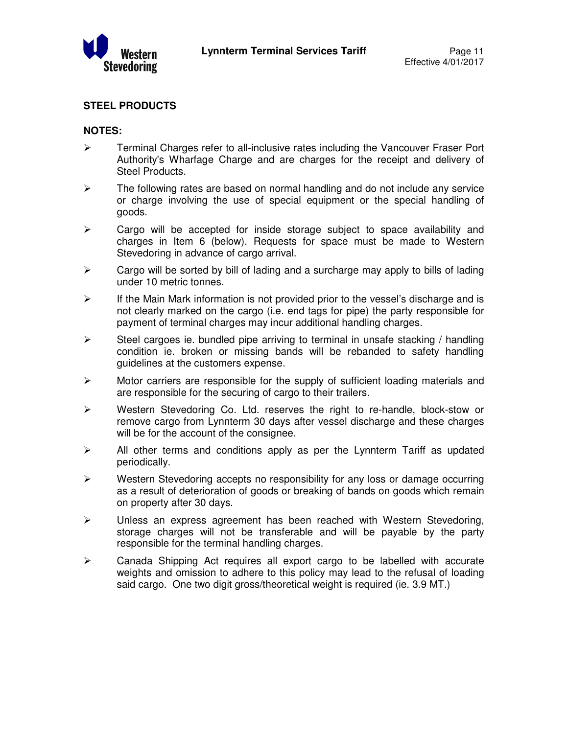

## **STEEL PRODUCTS**

## **NOTES:**

- $\triangleright$  Terminal Charges refer to all-inclusive rates including the Vancouver Fraser Port Authority's Wharfage Charge and are charges for the receipt and delivery of Steel Products.
- $\triangleright$  The following rates are based on normal handling and do not include any service or charge involving the use of special equipment or the special handling of goods.
- $\triangleright$  Cargo will be accepted for inside storage subject to space availability and charges in Item 6 (below). Requests for space must be made to Western Stevedoring in advance of cargo arrival.
- $\triangleright$  Cargo will be sorted by bill of lading and a surcharge may apply to bills of lading under 10 metric tonnes.
- $\triangleright$  If the Main Mark information is not provided prior to the vessel's discharge and is not clearly marked on the cargo (i.e. end tags for pipe) the party responsible for payment of terminal charges may incur additional handling charges.
- $\triangleright$  Steel cargoes ie. bundled pipe arriving to terminal in unsafe stacking / handling condition ie. broken or missing bands will be rebanded to safety handling guidelines at the customers expense.
- $\triangleright$  Motor carriers are responsible for the supply of sufficient loading materials and are responsible for the securing of cargo to their trailers.
- $\triangleright$  Western Stevedoring Co. Ltd. reserves the right to re-handle, block-stow or remove cargo from Lynnterm 30 days after vessel discharge and these charges will be for the account of the consignee.
- $\triangleright$  All other terms and conditions apply as per the Lynnterm Tariff as updated periodically.
- Western Stevedoring accepts no responsibility for any loss or damage occurring as a result of deterioration of goods or breaking of bands on goods which remain on property after 30 days.
- > Unless an express agreement has been reached with Western Stevedoring, storage charges will not be transferable and will be payable by the party responsible for the terminal handling charges.
- $\triangleright$  Canada Shipping Act requires all export cargo to be labelled with accurate weights and omission to adhere to this policy may lead to the refusal of loading said cargo. One two digit gross/theoretical weight is required (ie. 3.9 MT.)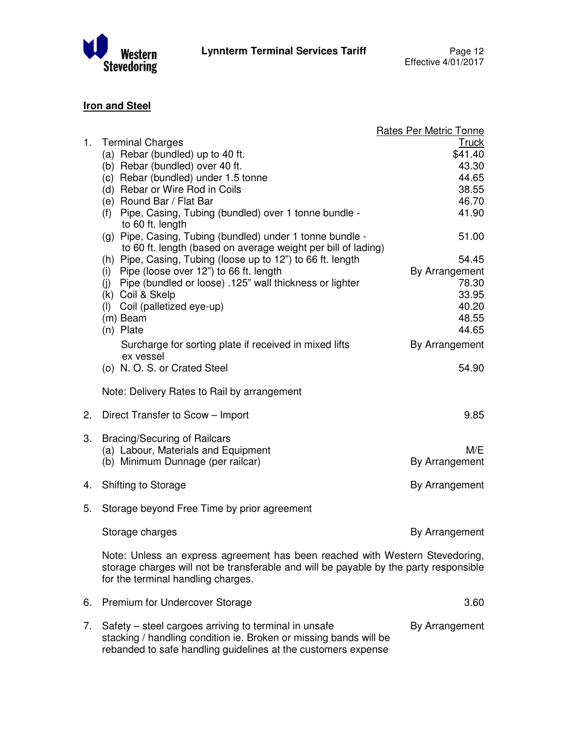

## **Iron and Steel**

|    |                                                                                                                                                                                                             | <b>Rates Per Metric Tonne</b> |
|----|-------------------------------------------------------------------------------------------------------------------------------------------------------------------------------------------------------------|-------------------------------|
|    | 1. Terminal Charges<br>(a) Rebar (bundled) up to 40 ft.                                                                                                                                                     | <b>Truck</b><br>\$41.40       |
|    | (b) Rebar (bundled) over 40 ft.                                                                                                                                                                             | 43.30                         |
|    | (c) Rebar (bundled) under 1.5 tonne                                                                                                                                                                         | 44.65                         |
|    | (d) Rebar or Wire Rod in Coils                                                                                                                                                                              | 38.55                         |
|    | (e) Round Bar / Flat Bar                                                                                                                                                                                    | 46.70                         |
|    | (f) Pipe, Casing, Tubing (bundled) over 1 tonne bundle -<br>to 60 ft. length                                                                                                                                | 41.90                         |
|    | (g) Pipe, Casing, Tubing (bundled) under 1 tonne bundle -<br>to 60 ft. length (based on average weight per bill of lading)                                                                                  | 51.00                         |
|    | (h) Pipe, Casing, Tubing (loose up to 12") to 66 ft. length                                                                                                                                                 | 54.45                         |
|    | (i) Pipe (loose over 12") to 66 ft. length                                                                                                                                                                  | By Arrangement                |
|    | (j) Pipe (bundled or loose) .125" wall thickness or lighter                                                                                                                                                 | 78.30                         |
|    | (k) Coil & Skelp<br>(I) Coil (palletized eye-up)                                                                                                                                                            | 33.95<br>40.20                |
|    | (m) Beam                                                                                                                                                                                                    | 48.55                         |
|    | (n) Plate                                                                                                                                                                                                   | 44.65                         |
|    | Surcharge for sorting plate if received in mixed lifts<br>ex vessel                                                                                                                                         | By Arrangement                |
|    | (o) N.O.S. or Crated Steel                                                                                                                                                                                  | 54.90                         |
|    | Note: Delivery Rates to Rail by arrangement                                                                                                                                                                 |                               |
| 2. | Direct Transfer to Scow - Import                                                                                                                                                                            | 9.85                          |
| 3. | <b>Bracing/Securing of Railcars</b>                                                                                                                                                                         |                               |
|    | (a) Labour, Materials and Equipment                                                                                                                                                                         | M/E                           |
|    | (b) Minimum Dunnage (per railcar)                                                                                                                                                                           | By Arrangement                |
| 4. | Shifting to Storage                                                                                                                                                                                         | By Arrangement                |
| 5. | Storage beyond Free Time by prior agreement                                                                                                                                                                 |                               |
|    | Storage charges                                                                                                                                                                                             | By Arrangement                |
|    | Note: Unless an express agreement has been reached with Western Stevedoring,<br>storage charges will not be transferable and will be payable by the party responsible<br>for the terminal handling charges. |                               |
| 6. | Premium for Undercover Storage                                                                                                                                                                              | 3.60                          |
| 7. | Safety – steel cargoes arriving to terminal in unsafe<br>stacking / handling condition ie. Broken or missing bands will be<br>rebanded to safe handling guidelines at the customers expense                 | By Arrangement                |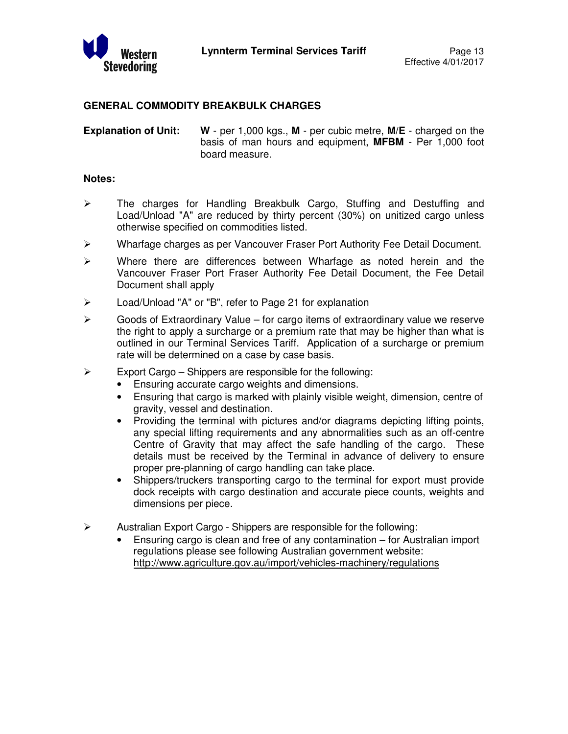

## **GENERAL COMMODITY BREAKBULK CHARGES**

**Explanation of Unit: W** - per 1,000 kgs., **M** - per cubic metre, **M/E** - charged on the basis of man hours and equipment, **MFBM** - Per 1,000 foot board measure.

#### **Notes:**

- $\triangleright$  The charges for Handling Breakbulk Cargo, Stuffing and Destuffing and Load/Unload "A" are reduced by thirty percent (30%) on unitized cargo unless otherwise specified on commodities listed.
- Wharfage charges as per Vancouver Fraser Port Authority Fee Detail Document.
- $\triangleright$  Where there are differences between Wharfage as noted herein and the Vancouver Fraser Port Fraser Authority Fee Detail Document, the Fee Detail Document shall apply
- Load/Unload "A" or "B", refer to Page 21 for explanation
- $\triangleright$  Goods of Extraordinary Value for cargo items of extraordinary value we reserve the right to apply a surcharge or a premium rate that may be higher than what is outlined in our Terminal Services Tariff. Application of a surcharge or premium rate will be determined on a case by case basis.
- $\triangleright$  Export Cargo Shippers are responsible for the following:
	- Ensuring accurate cargo weights and dimensions.
	- Ensuring that cargo is marked with plainly visible weight, dimension, centre of gravity, vessel and destination.
	- Providing the terminal with pictures and/or diagrams depicting lifting points, any special lifting requirements and any abnormalities such as an off-centre Centre of Gravity that may affect the safe handling of the cargo. These details must be received by the Terminal in advance of delivery to ensure proper pre-planning of cargo handling can take place.
	- Shippers/truckers transporting cargo to the terminal for export must provide dock receipts with cargo destination and accurate piece counts, weights and dimensions per piece.
- $\triangleright$  Australian Export Cargo Shippers are responsible for the following:
	- Ensuring cargo is clean and free of any contamination for Australian import regulations please see following Australian government website: http://www.agriculture.gov.au/import/vehicles-machinery/regulations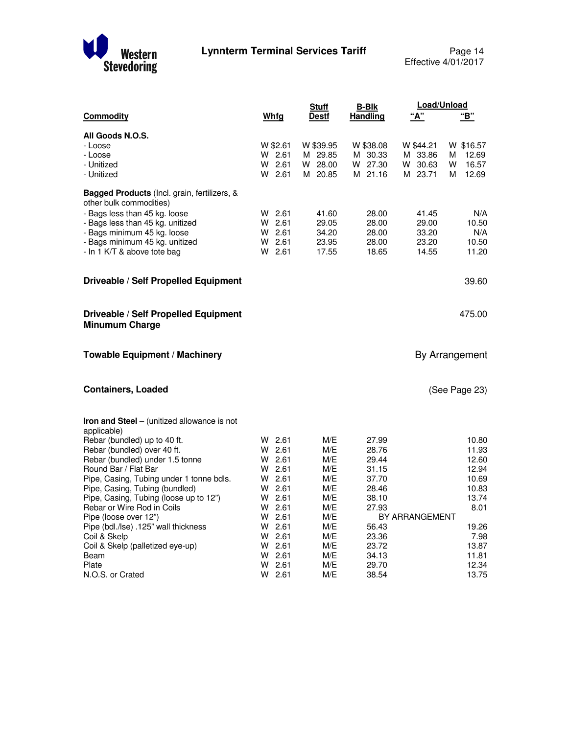

|                                                                                |          | <b>Stuff</b> | <b>B-Blk</b>    | Load/Unload    |                |
|--------------------------------------------------------------------------------|----------|--------------|-----------------|----------------|----------------|
| <b>Commodity</b>                                                               | Whfg     | <b>Destf</b> | <b>Handling</b> | " $A$ "        | "В"            |
| All Goods N.O.S.                                                               |          |              |                 |                |                |
| - Loose                                                                        | W \$2.61 | W \$39.95    | W \$38.08       | W \$44.21      | W \$16.57      |
| - Loose                                                                        | W 2.61   | M 29.85      | M 30.33         | M 33.86        | 12.69<br>М     |
| - Unitized                                                                     | W 2.61   | W 28.00      | W 27.30         | W 30.63        | W<br>16.57     |
| - Unitized                                                                     | W 2.61   | M 20.85      | M 21.16         | M 23.71        | 12.69<br>М     |
| <b>Bagged Products</b> (Incl. grain, fertilizers, &<br>other bulk commodities) |          |              |                 |                |                |
| - Bags less than 45 kg. loose                                                  | $W$ 2.61 | 41.60        | 28.00           | 41.45          | N/A            |
| - Bags less than 45 kg. unitized                                               | W 2.61   | 29.05        | 28.00           | 29.00          | 10.50          |
| - Bags minimum 45 kg. loose                                                    | $W$ 2.61 | 34.20        | 28.00           | 33.20          | N/A            |
| - Bags minimum 45 kg. unitized                                                 | W 2.61   | 23.95        | 28.00           | 23.20          | 10.50          |
| - In 1 K/T & above tote bag                                                    | $W$ 2.61 | 17.55        | 18.65           | 14.55          | 11.20          |
|                                                                                |          |              |                 |                |                |
| Driveable / Self Propelled Equipment                                           |          |              |                 |                | 39.60          |
| Driveable / Self Propelled Equipment<br><b>Minumum Charge</b>                  |          |              |                 |                | 475.00         |
| <b>Towable Equipment / Machinery</b>                                           |          |              |                 |                | By Arrangement |
| <b>Containers, Loaded</b>                                                      |          |              |                 |                | (See Page 23)  |
| <b>Iron and Steel</b> – (unitized allowance is not<br>applicable)              |          |              |                 |                |                |
| Rebar (bundled) up to 40 ft.                                                   | W 2.61   | M/E          | 27.99           |                | 10.80          |
| Rebar (bundled) over 40 ft.                                                    | $W$ 2.61 | M/E          | 28.76           |                | 11.93          |
| Rebar (bundled) under 1.5 tonne                                                | $W$ 2.61 | M/E          | 29.44           |                | 12.60          |
| Round Bar / Flat Bar                                                           | $W$ 2.61 | M/E          | 31.15           |                | 12.94          |
| Pipe, Casing, Tubing under 1 tonne bdls.                                       | $W$ 2.61 | M/E          | 37.70           |                | 10.69          |
| Pipe, Casing, Tubing (bundled)                                                 | $W$ 2.61 | M/E          | 28.46           |                | 10.83          |
| Pipe, Casing, Tubing (loose up to 12")                                         | $W$ 2.61 | M/E          | 38.10           |                | 13.74          |
| Rebar or Wire Rod in Coils                                                     | $W$ 2.61 | M/E          | 27.93           |                | 8.01           |
| Pipe (loose over 12")                                                          | $W$ 2.61 | M/E          |                 | BY ARRANGEMENT |                |
| Pipe (bdl./lse) .125" wall thickness                                           | $W$ 2.61 | M/E          | 56.43           |                | 19.26          |
| Coil & Skelp                                                                   | $W$ 2.61 | M/E          | 23.36           |                | 7.98           |
| Coil & Skelp (palletized eye-up)                                               | $W$ 2.61 | M/E          | 23.72           |                | 13.87          |
| Beam                                                                           | W 2.61   | M/E          | 34.13           |                | 11.81          |
| Plate                                                                          | W 2.61   | M/E          | 29.70           |                | 12.34          |
| N.O.S. or Crated                                                               | W 2.61   | M/E          | 38.54           |                | 13.75          |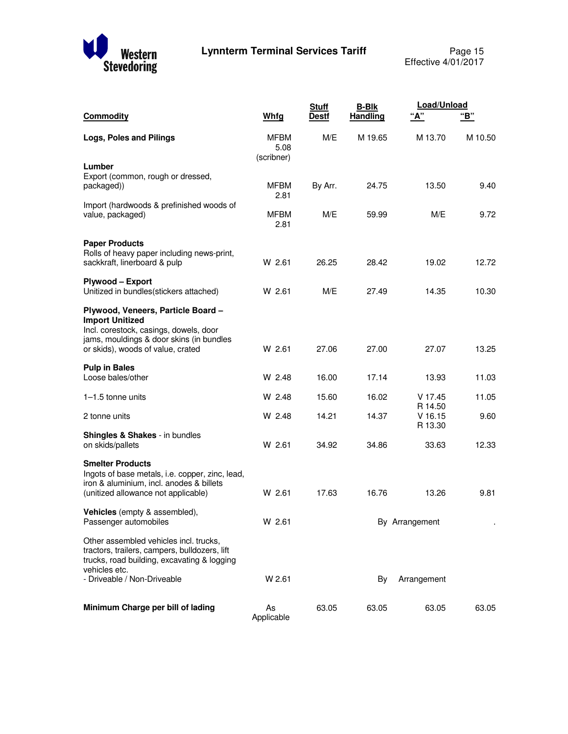

|                                                                                                                                                                                         |                                   | <b>Stuff</b> | <b>B-Blk</b>    | Load/Unload                     |         |
|-----------------------------------------------------------------------------------------------------------------------------------------------------------------------------------------|-----------------------------------|--------------|-----------------|---------------------------------|---------|
| <b>Commodity</b>                                                                                                                                                                        | Whfg                              | <b>Destf</b> | <b>Handling</b> | "A"                             | "В"     |
| Logs, Poles and Pilings                                                                                                                                                                 | <b>MFBM</b><br>5.08<br>(scribner) | M/E          | M 19.65         | M 13.70                         | M 10.50 |
| Lumber<br>Export (common, rough or dressed,<br>packaged))                                                                                                                               | <b>MFBM</b><br>2.81               | By Arr.      | 24.75           | 13.50                           | 9.40    |
| Import (hardwoods & prefinished woods of<br>value, packaged)                                                                                                                            | <b>MFBM</b><br>2.81               | M/E          | 59.99           | M/E                             | 9.72    |
| <b>Paper Products</b><br>Rolls of heavy paper including news-print,<br>sackkraft, linerboard & pulp                                                                                     | W 2.61                            | 26.25        | 28.42           | 19.02                           | 12.72   |
| Plywood - Export<br>Unitized in bundles(stickers attached)                                                                                                                              | W 2.61                            | M/E          | 27.49           | 14.35                           | 10.30   |
| Plywood, Veneers, Particle Board -<br><b>Import Unitized</b><br>Incl. corestock, casings, dowels, door<br>jams, mouldings & door skins (in bundles<br>or skids), woods of value, crated | W 2.61                            | 27.06        | 27.00           | 27.07                           | 13.25   |
| <b>Pulp in Bales</b><br>Loose bales/other                                                                                                                                               | W 2.48                            | 16.00        | 17.14           | 13.93                           | 11.03   |
| $1-1.5$ tonne units                                                                                                                                                                     | W 2.48                            | 15.60        | 16.02           | V 17.45                         | 11.05   |
| 2 tonne units                                                                                                                                                                           | W 2.48                            | 14.21        | 14.37           | R 14.50<br>$V$ 16.15<br>R 13.30 | 9.60    |
| Shingles & Shakes - in bundles<br>on skids/pallets                                                                                                                                      | W 2.61                            | 34.92        | 34.86           | 33.63                           | 12.33   |
| <b>Smelter Products</b><br>Ingots of base metals, i.e. copper, zinc, lead,<br>iron & aluminium, incl. anodes & billets<br>(unitized allowance not applicable)                           | W 2.61                            | 17.63        | 16.76           | 13.26                           | 9.81    |
| Vehicles (empty & assembled),<br>Passenger automobiles                                                                                                                                  | W 2.61                            |              |                 | By Arrangement                  |         |
| Other assembled vehicles incl. trucks,<br>tractors, trailers, campers, bulldozers, lift<br>trucks, road building, excavating & logging<br>vehicles etc.                                 |                                   |              |                 |                                 |         |
| - Driveable / Non-Driveable                                                                                                                                                             | W 2.61                            |              | By              | Arrangement                     |         |
| Minimum Charge per bill of lading                                                                                                                                                       | As<br>Applicable                  | 63.05        | 63.05           | 63.05                           | 63.05   |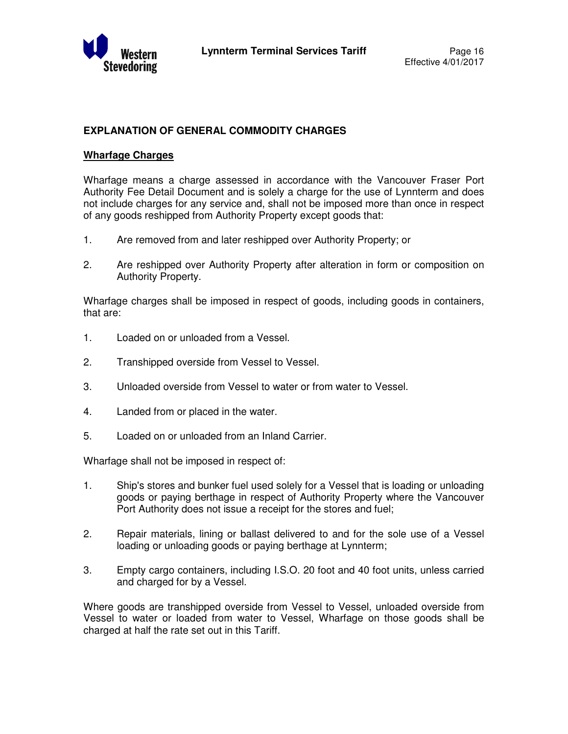

## **EXPLANATION OF GENERAL COMMODITY CHARGES**

### **Wharfage Charges**

Wharfage means a charge assessed in accordance with the Vancouver Fraser Port Authority Fee Detail Document and is solely a charge for the use of Lynnterm and does not include charges for any service and, shall not be imposed more than once in respect of any goods reshipped from Authority Property except goods that:

- 1. Are removed from and later reshipped over Authority Property; or
- 2. Are reshipped over Authority Property after alteration in form or composition on Authority Property.

Wharfage charges shall be imposed in respect of goods, including goods in containers, that are:

- 1. Loaded on or unloaded from a Vessel.
- 2. Transhipped overside from Vessel to Vessel.
- 3. Unloaded overside from Vessel to water or from water to Vessel.
- 4. Landed from or placed in the water.
- 5. Loaded on or unloaded from an Inland Carrier.

Wharfage shall not be imposed in respect of:

- 1. Ship's stores and bunker fuel used solely for a Vessel that is loading or unloading goods or paying berthage in respect of Authority Property where the Vancouver Port Authority does not issue a receipt for the stores and fuel;
- 2. Repair materials, lining or ballast delivered to and for the sole use of a Vessel loading or unloading goods or paying berthage at Lynnterm;
- 3. Empty cargo containers, including I.S.O. 20 foot and 40 foot units, unless carried and charged for by a Vessel.

Where goods are transhipped overside from Vessel to Vessel, unloaded overside from Vessel to water or loaded from water to Vessel, Wharfage on those goods shall be charged at half the rate set out in this Tariff.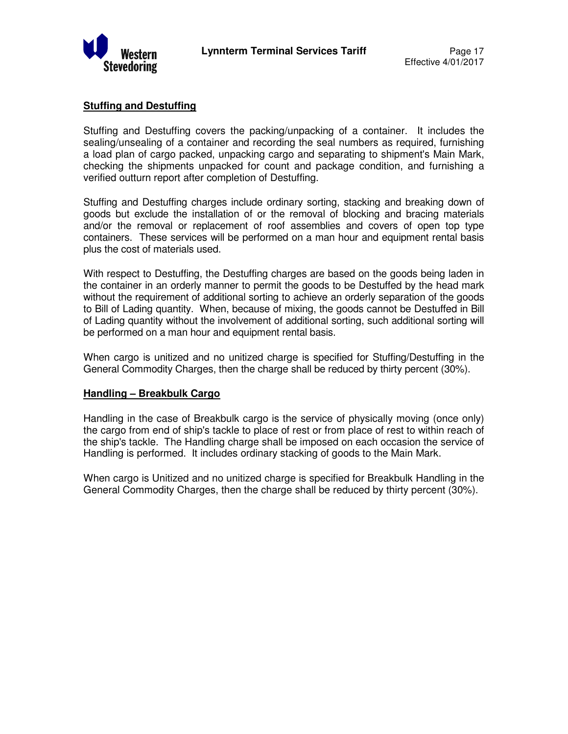

## **Stuffing and Destuffing**

Stuffing and Destuffing covers the packing/unpacking of a container. It includes the sealing/unsealing of a container and recording the seal numbers as required, furnishing a load plan of cargo packed, unpacking cargo and separating to shipment's Main Mark, checking the shipments unpacked for count and package condition, and furnishing a verified outturn report after completion of Destuffing.

Stuffing and Destuffing charges include ordinary sorting, stacking and breaking down of goods but exclude the installation of or the removal of blocking and bracing materials and/or the removal or replacement of roof assemblies and covers of open top type containers. These services will be performed on a man hour and equipment rental basis plus the cost of materials used.

With respect to Destuffing, the Destuffing charges are based on the goods being laden in the container in an orderly manner to permit the goods to be Destuffed by the head mark without the requirement of additional sorting to achieve an orderly separation of the goods to Bill of Lading quantity. When, because of mixing, the goods cannot be Destuffed in Bill of Lading quantity without the involvement of additional sorting, such additional sorting will be performed on a man hour and equipment rental basis.

When cargo is unitized and no unitized charge is specified for Stuffing/Destuffing in the General Commodity Charges, then the charge shall be reduced by thirty percent (30%).

## **Handling – Breakbulk Cargo**

Handling in the case of Breakbulk cargo is the service of physically moving (once only) the cargo from end of ship's tackle to place of rest or from place of rest to within reach of the ship's tackle. The Handling charge shall be imposed on each occasion the service of Handling is performed. It includes ordinary stacking of goods to the Main Mark.

When cargo is Unitized and no unitized charge is specified for Breakbulk Handling in the General Commodity Charges, then the charge shall be reduced by thirty percent (30%).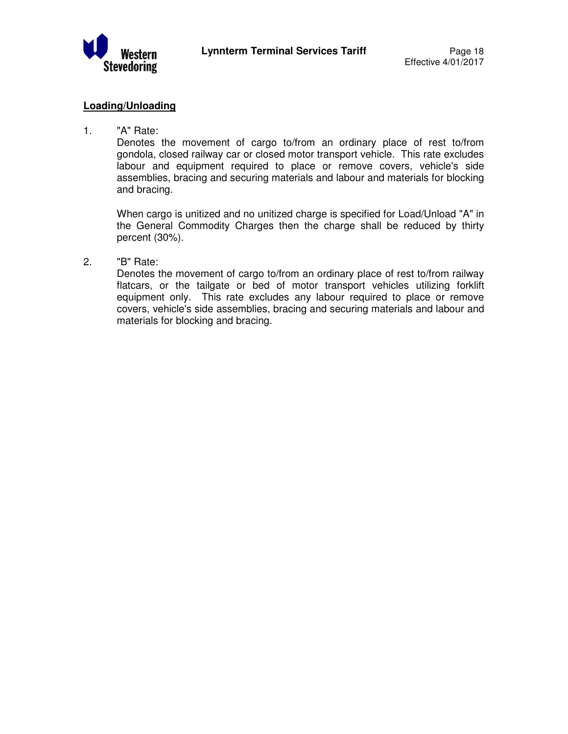

## **Loading/Unloading**

1. "A" Rate:

Denotes the movement of cargo to/from an ordinary place of rest to/from gondola, closed railway car or closed motor transport vehicle. This rate excludes labour and equipment required to place or remove covers, vehicle's side assemblies, bracing and securing materials and labour and materials for blocking and bracing.

 When cargo is unitized and no unitized charge is specified for Load/Unload "A" in the General Commodity Charges then the charge shall be reduced by thirty percent (30%).

2. "B" Rate:

Denotes the movement of cargo to/from an ordinary place of rest to/from railway flatcars, or the tailgate or bed of motor transport vehicles utilizing forklift equipment only. This rate excludes any labour required to place or remove covers, vehicle's side assemblies, bracing and securing materials and labour and materials for blocking and bracing.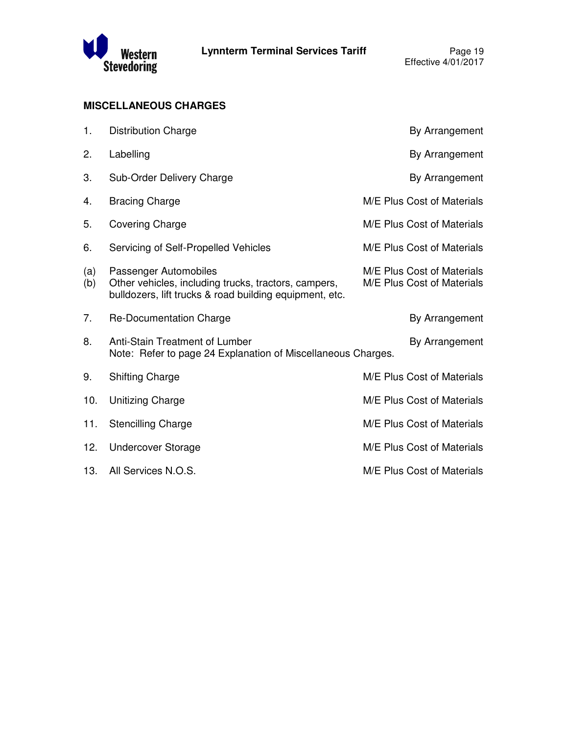

## **MISCELLANEOUS CHARGES**

| 1.         | <b>Distribution Charge</b>                                                                                                               | By Arrangement                                           |
|------------|------------------------------------------------------------------------------------------------------------------------------------------|----------------------------------------------------------|
| 2.         | Labelling                                                                                                                                | By Arrangement                                           |
| 3.         | Sub-Order Delivery Charge                                                                                                                | By Arrangement                                           |
| 4.         | <b>Bracing Charge</b>                                                                                                                    | M/E Plus Cost of Materials                               |
| 5.         | Covering Charge                                                                                                                          | M/E Plus Cost of Materials                               |
| 6.         | Servicing of Self-Propelled Vehicles                                                                                                     | M/E Plus Cost of Materials                               |
| (a)<br>(b) | Passenger Automobiles<br>Other vehicles, including trucks, tractors, campers,<br>bulldozers, lift trucks & road building equipment, etc. | M/E Plus Cost of Materials<br>M/E Plus Cost of Materials |
| 7.         | Re-Documentation Charge                                                                                                                  | By Arrangement                                           |
| 8.         | Anti-Stain Treatment of Lumber<br>Note: Refer to page 24 Explanation of Miscellaneous Charges.                                           | By Arrangement                                           |
| 9.         | <b>Shifting Charge</b>                                                                                                                   | M/E Plus Cost of Materials                               |
| 10.        | <b>Unitizing Charge</b>                                                                                                                  | M/E Plus Cost of Materials                               |
| 11.        | <b>Stencilling Charge</b>                                                                                                                | M/E Plus Cost of Materials                               |
| 12.        | <b>Undercover Storage</b>                                                                                                                | M/E Plus Cost of Materials                               |
| 13.        | All Services N.O.S.                                                                                                                      | M/E Plus Cost of Materials                               |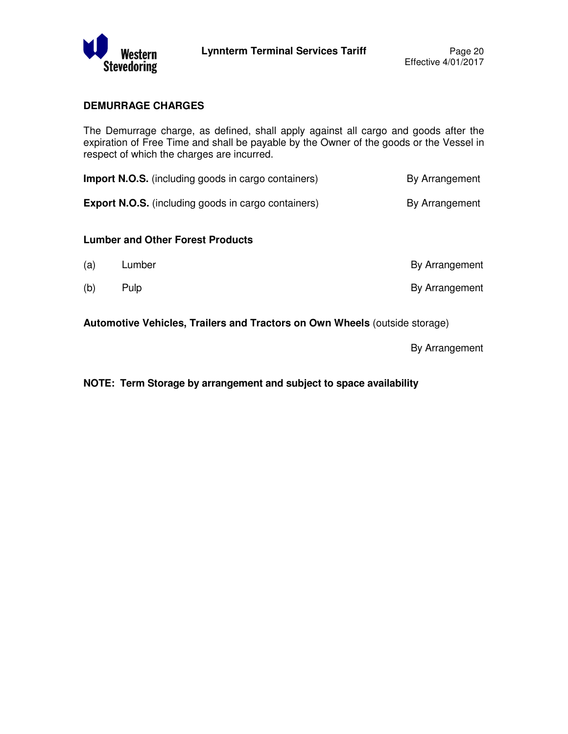

## **DEMURRAGE CHARGES**

The Demurrage charge, as defined, shall apply against all cargo and goods after the expiration of Free Time and shall be payable by the Owner of the goods or the Vessel in respect of which the charges are incurred.

| <b>Import N.O.S.</b> (including goods in cargo containers) | By Arrangement |
|------------------------------------------------------------|----------------|
| <b>Export N.O.S.</b> (including goods in cargo containers) | By Arrangement |

#### **Lumber and Other Forest Products**

| (a) | Lumber | By Arrangement |
|-----|--------|----------------|
| (b) | Pulp   | By Arrangement |

**Automotive Vehicles, Trailers and Tractors on Own Wheels** (outside storage)

By Arrangement

**NOTE: Term Storage by arrangement and subject to space availability**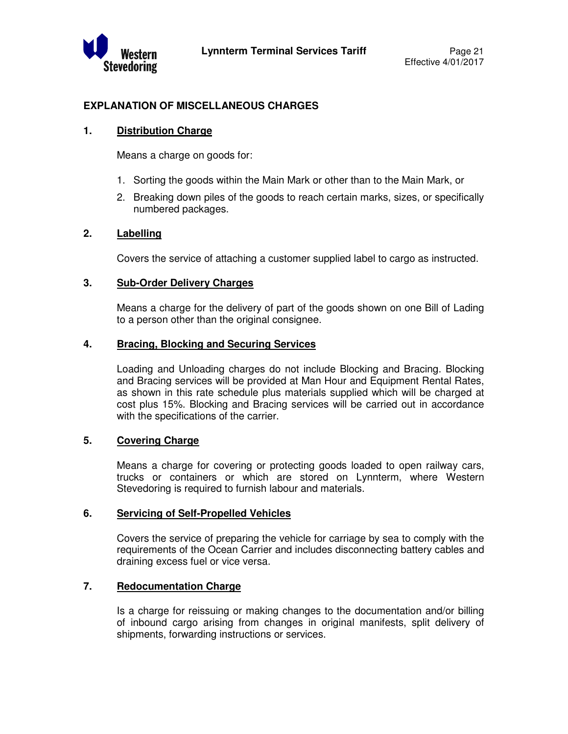

## **EXPLANATION OF MISCELLANEOUS CHARGES**

### **1. Distribution Charge**

Means a charge on goods for:

- 1. Sorting the goods within the Main Mark or other than to the Main Mark, or
- 2. Breaking down piles of the goods to reach certain marks, sizes, or specifically numbered packages.

### **2. Labelling**

Covers the service of attaching a customer supplied label to cargo as instructed.

### **3. Sub-Order Delivery Charges**

 Means a charge for the delivery of part of the goods shown on one Bill of Lading to a person other than the original consignee.

## **4. Bracing, Blocking and Securing Services**

 Loading and Unloading charges do not include Blocking and Bracing. Blocking and Bracing services will be provided at Man Hour and Equipment Rental Rates, as shown in this rate schedule plus materials supplied which will be charged at cost plus 15%. Blocking and Bracing services will be carried out in accordance with the specifications of the carrier.

## **5. Covering Charge**

 Means a charge for covering or protecting goods loaded to open railway cars, trucks or containers or which are stored on Lynnterm, where Western Stevedoring is required to furnish labour and materials.

#### **6. Servicing of Self-Propelled Vehicles**

 Covers the service of preparing the vehicle for carriage by sea to comply with the requirements of the Ocean Carrier and includes disconnecting battery cables and draining excess fuel or vice versa.

## **7. Redocumentation Charge**

 Is a charge for reissuing or making changes to the documentation and/or billing of inbound cargo arising from changes in original manifests, split delivery of shipments, forwarding instructions or services.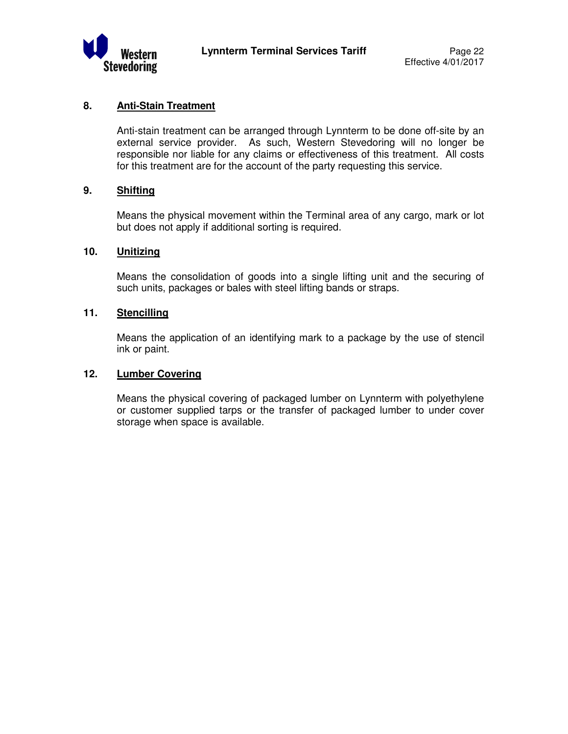

## **8. Anti-Stain Treatment**

 Anti-stain treatment can be arranged through Lynnterm to be done off-site by an external service provider. As such, Western Stevedoring will no longer be responsible nor liable for any claims or effectiveness of this treatment. All costs for this treatment are for the account of the party requesting this service.

## **9. Shifting**

 Means the physical movement within the Terminal area of any cargo, mark or lot but does not apply if additional sorting is required.

## **10. Unitizing**

 Means the consolidation of goods into a single lifting unit and the securing of such units, packages or bales with steel lifting bands or straps.

## **11. Stencilling**

 Means the application of an identifying mark to a package by the use of stencil ink or paint.

### **12. Lumber Covering**

 Means the physical covering of packaged lumber on Lynnterm with polyethylene or customer supplied tarps or the transfer of packaged lumber to under cover storage when space is available.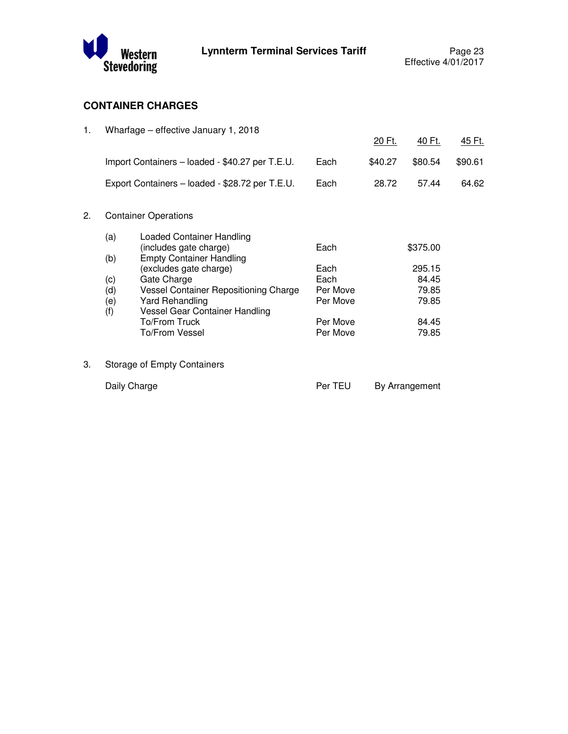

## **CONTAINER CHARGES**

| 1. |              | Wharfage – effective January 1, 2018                      |              |         |                 |               |
|----|--------------|-----------------------------------------------------------|--------------|---------|-----------------|---------------|
|    |              |                                                           |              | 20 Ft.  | <u>40 Ft.</u>   | <u>45 Ft.</u> |
|    |              | Import Containers - loaded - \$40.27 per T.E.U.           | Each         | \$40.27 | \$80.54         | \$90.61       |
|    |              | Export Containers - loaded - \$28.72 per T.E.U.           | Each         | 28.72   | 57.44           | 64.62         |
| 2. |              | <b>Container Operations</b>                               |              |         |                 |               |
|    | (a)          | <b>Loaded Container Handling</b>                          |              |         |                 |               |
|    | (b)          | (includes gate charge)<br><b>Empty Container Handling</b> | Each         |         | \$375.00        |               |
|    |              | (excludes gate charge)<br>Gate Charge                     | Each<br>Each |         | 295.15<br>84.45 |               |
|    | (c)<br>(d)   | Vessel Container Repositioning Charge                     | Per Move     |         | 79.85           |               |
|    | (e)<br>(f)   | <b>Yard Rehandling</b><br>Vessel Gear Container Handling  | Per Move     |         | 79.85           |               |
|    |              | To/From Truck                                             | Per Move     |         | 84.45           |               |
|    |              | To/From Vessel                                            | Per Move     |         | 79.85           |               |
| 3. |              | <b>Storage of Empty Containers</b>                        |              |         |                 |               |
|    | Daily Charge |                                                           | Per TEU      |         | By Arrangement  |               |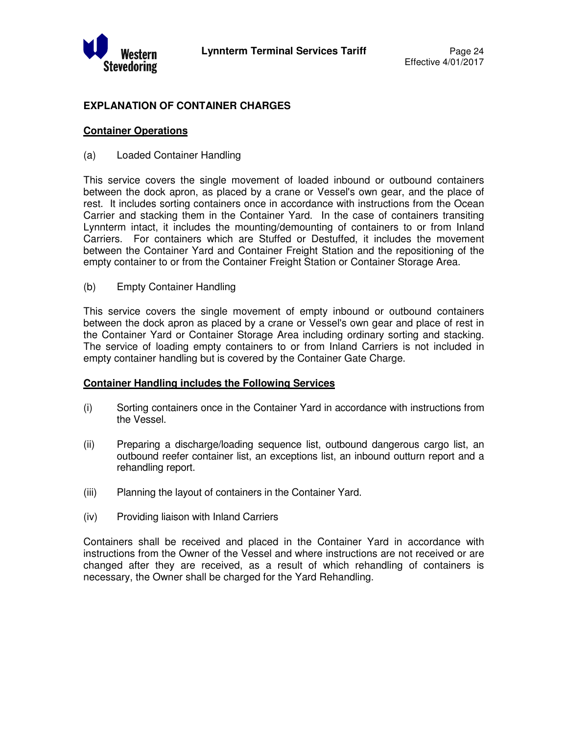

## **EXPLANATION OF CONTAINER CHARGES**

## **Container Operations**

(a) Loaded Container Handling

This service covers the single movement of loaded inbound or outbound containers between the dock apron, as placed by a crane or Vessel's own gear, and the place of rest. It includes sorting containers once in accordance with instructions from the Ocean Carrier and stacking them in the Container Yard. In the case of containers transiting Lynnterm intact, it includes the mounting/demounting of containers to or from Inland Carriers. For containers which are Stuffed or Destuffed, it includes the movement between the Container Yard and Container Freight Station and the repositioning of the empty container to or from the Container Freight Station or Container Storage Area.

(b) Empty Container Handling

This service covers the single movement of empty inbound or outbound containers between the dock apron as placed by a crane or Vessel's own gear and place of rest in the Container Yard or Container Storage Area including ordinary sorting and stacking. The service of loading empty containers to or from Inland Carriers is not included in empty container handling but is covered by the Container Gate Charge.

#### **Container Handling includes the Following Services**

- (i) Sorting containers once in the Container Yard in accordance with instructions from the Vessel.
- (ii) Preparing a discharge/loading sequence list, outbound dangerous cargo list, an outbound reefer container list, an exceptions list, an inbound outturn report and a rehandling report.
- (iii) Planning the layout of containers in the Container Yard.
- (iv) Providing liaison with Inland Carriers

Containers shall be received and placed in the Container Yard in accordance with instructions from the Owner of the Vessel and where instructions are not received or are changed after they are received, as a result of which rehandling of containers is necessary, the Owner shall be charged for the Yard Rehandling.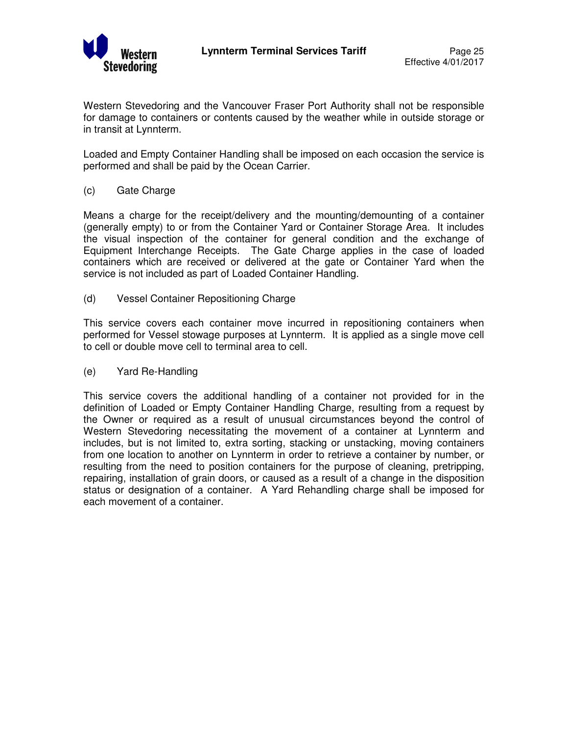

Western Stevedoring and the Vancouver Fraser Port Authority shall not be responsible for damage to containers or contents caused by the weather while in outside storage or in transit at Lynnterm.

Loaded and Empty Container Handling shall be imposed on each occasion the service is performed and shall be paid by the Ocean Carrier.

(c) Gate Charge

Means a charge for the receipt/delivery and the mounting/demounting of a container (generally empty) to or from the Container Yard or Container Storage Area. It includes the visual inspection of the container for general condition and the exchange of Equipment Interchange Receipts. The Gate Charge applies in the case of loaded containers which are received or delivered at the gate or Container Yard when the service is not included as part of Loaded Container Handling.

(d) Vessel Container Repositioning Charge

This service covers each container move incurred in repositioning containers when performed for Vessel stowage purposes at Lynnterm. It is applied as a single move cell to cell or double move cell to terminal area to cell.

(e) Yard Re-Handling

This service covers the additional handling of a container not provided for in the definition of Loaded or Empty Container Handling Charge, resulting from a request by the Owner or required as a result of unusual circumstances beyond the control of Western Stevedoring necessitating the movement of a container at Lynnterm and includes, but is not limited to, extra sorting, stacking or unstacking, moving containers from one location to another on Lynnterm in order to retrieve a container by number, or resulting from the need to position containers for the purpose of cleaning, pretripping, repairing, installation of grain doors, or caused as a result of a change in the disposition status or designation of a container. A Yard Rehandling charge shall be imposed for each movement of a container.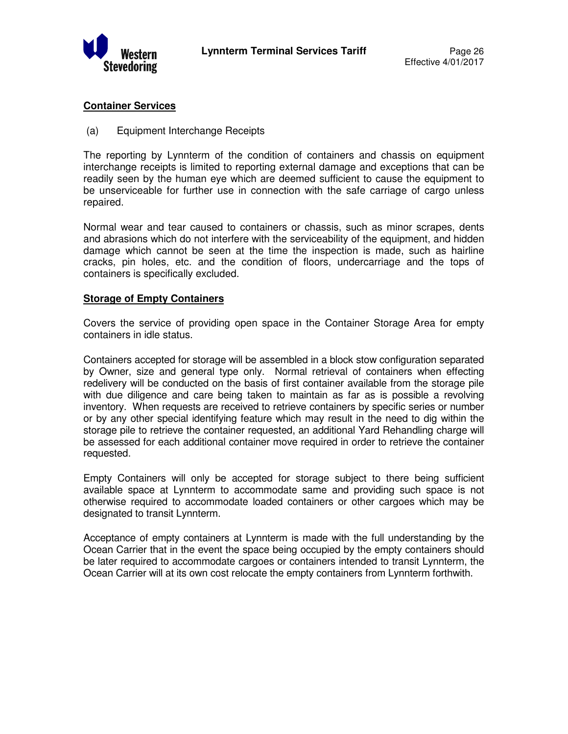

## **Container Services**

(a) Equipment Interchange Receipts

The reporting by Lynnterm of the condition of containers and chassis on equipment interchange receipts is limited to reporting external damage and exceptions that can be readily seen by the human eye which are deemed sufficient to cause the equipment to be unserviceable for further use in connection with the safe carriage of cargo unless repaired.

Normal wear and tear caused to containers or chassis, such as minor scrapes, dents and abrasions which do not interfere with the serviceability of the equipment, and hidden damage which cannot be seen at the time the inspection is made, such as hairline cracks, pin holes, etc. and the condition of floors, undercarriage and the tops of containers is specifically excluded.

### **Storage of Empty Containers**

Covers the service of providing open space in the Container Storage Area for empty containers in idle status.

Containers accepted for storage will be assembled in a block stow configuration separated by Owner, size and general type only. Normal retrieval of containers when effecting redelivery will be conducted on the basis of first container available from the storage pile with due diligence and care being taken to maintain as far as is possible a revolving inventory. When requests are received to retrieve containers by specific series or number or by any other special identifying feature which may result in the need to dig within the storage pile to retrieve the container requested, an additional Yard Rehandling charge will be assessed for each additional container move required in order to retrieve the container requested.

Empty Containers will only be accepted for storage subject to there being sufficient available space at Lynnterm to accommodate same and providing such space is not otherwise required to accommodate loaded containers or other cargoes which may be designated to transit Lynnterm.

Acceptance of empty containers at Lynnterm is made with the full understanding by the Ocean Carrier that in the event the space being occupied by the empty containers should be later required to accommodate cargoes or containers intended to transit Lynnterm, the Ocean Carrier will at its own cost relocate the empty containers from Lynnterm forthwith.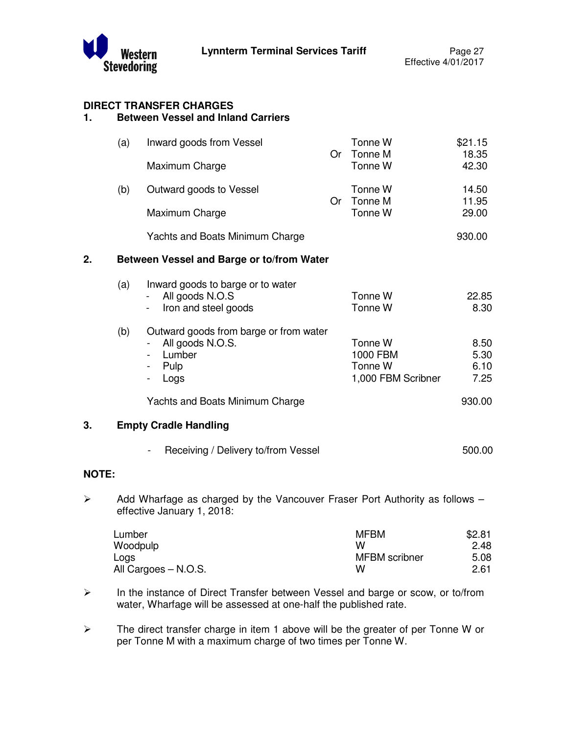

# **DIRECT TRANSFER CHARGES**

## **1. Between Vessel and Inland Carriers**

|                       | (a) | Inward goods from Vessel                                                                                                               | <b>Or</b> | Tonne W<br>Tonne M                                   | \$21.15<br>18.35             |
|-----------------------|-----|----------------------------------------------------------------------------------------------------------------------------------------|-----------|------------------------------------------------------|------------------------------|
|                       |     | Maximum Charge                                                                                                                         |           | Tonne W                                              | 42.30                        |
|                       | (b) | Outward goods to Vessel                                                                                                                | Or        | Tonne W<br>Tonne M                                   | 14.50<br>11.95               |
|                       |     | Maximum Charge                                                                                                                         |           | Tonne W                                              | 29.00                        |
|                       |     | Yachts and Boats Minimum Charge                                                                                                        |           |                                                      | 930.00                       |
| 2.                    |     | Between Vessel and Barge or to/from Water                                                                                              |           |                                                      |                              |
|                       | (a) | Inward goods to barge or to water<br>All goods N.O.S<br>Iron and steel goods                                                           |           | Tonne W<br>Tonne W                                   | 22.85<br>8.30                |
|                       | (b) | Outward goods from barge or from water<br>All goods N.O.S.<br>Lumber<br>Pulp<br>$\qquad \qquad \blacksquare$<br>Logs<br>$\blacksquare$ |           | Tonne W<br>1000 FBM<br>Tonne W<br>1,000 FBM Scribner | 8.50<br>5.30<br>6.10<br>7.25 |
|                       |     | Yachts and Boats Minimum Charge                                                                                                        |           |                                                      | 930.00                       |
| 3.                    |     | <b>Empty Cradle Handling</b>                                                                                                           |           |                                                      |                              |
|                       |     | Receiving / Delivery to/from Vessel                                                                                                    |           |                                                      | 500.00                       |
| <b>NOTE:</b>          |     |                                                                                                                                        |           |                                                      |                              |
| $\blacktriangleright$ |     | Add Wharfage as charged by the Vancouver Fraser Port Authority as follows -<br>effective January 1, 2018:                              |           |                                                      |                              |

| Lumber               | <b>MFBM</b>   | \$2.81 |
|----------------------|---------------|--------|
| Woodpulp             | w             | 2.48   |
| Logs                 | MFBM scribner | 5.08   |
| All Cargoes – N.O.S. | w             | 2.61   |

- In the instance of Direct Transfer between Vessel and barge or scow, or to/from water, Wharfage will be assessed at one-half the published rate.
- $\triangleright$  The direct transfer charge in item 1 above will be the greater of per Tonne W or per Tonne M with a maximum charge of two times per Tonne W.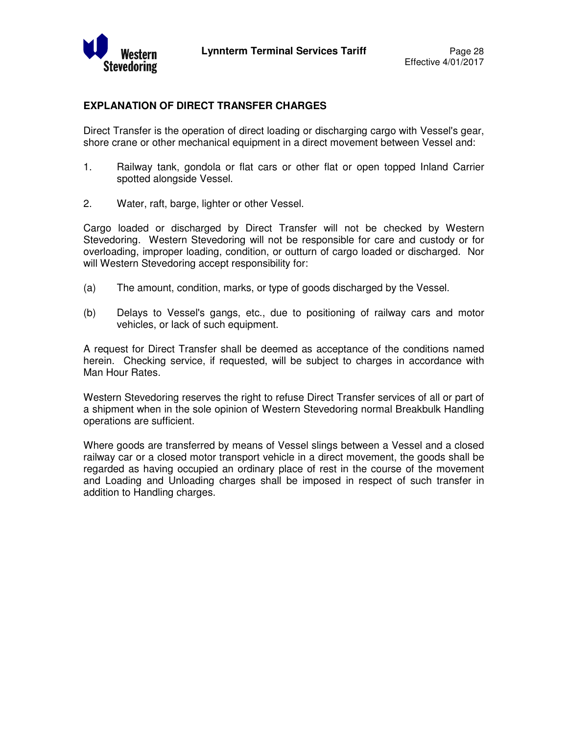

## **EXPLANATION OF DIRECT TRANSFER CHARGES**

Direct Transfer is the operation of direct loading or discharging cargo with Vessel's gear, shore crane or other mechanical equipment in a direct movement between Vessel and:

- 1. Railway tank, gondola or flat cars or other flat or open topped Inland Carrier spotted alongside Vessel.
- 2. Water, raft, barge, lighter or other Vessel.

Cargo loaded or discharged by Direct Transfer will not be checked by Western Stevedoring. Western Stevedoring will not be responsible for care and custody or for overloading, improper loading, condition, or outturn of cargo loaded or discharged. Nor will Western Stevedoring accept responsibility for:

- (a) The amount, condition, marks, or type of goods discharged by the Vessel.
- (b) Delays to Vessel's gangs, etc., due to positioning of railway cars and motor vehicles, or lack of such equipment.

A request for Direct Transfer shall be deemed as acceptance of the conditions named herein. Checking service, if requested, will be subject to charges in accordance with Man Hour Rates.

Western Stevedoring reserves the right to refuse Direct Transfer services of all or part of a shipment when in the sole opinion of Western Stevedoring normal Breakbulk Handling operations are sufficient.

Where goods are transferred by means of Vessel slings between a Vessel and a closed railway car or a closed motor transport vehicle in a direct movement, the goods shall be regarded as having occupied an ordinary place of rest in the course of the movement and Loading and Unloading charges shall be imposed in respect of such transfer in addition to Handling charges.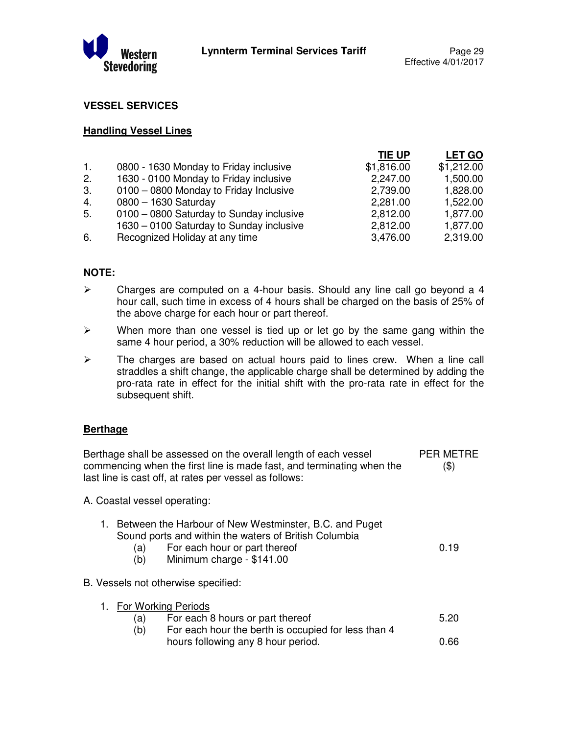

0.19

## **VESSEL SERVICES**

#### **Handling Vessel Lines**

|                |                                          | TIE UP     | <b>LET GO</b> |
|----------------|------------------------------------------|------------|---------------|
| $\mathbf{1}$ . | 0800 - 1630 Monday to Friday inclusive   | \$1,816.00 | \$1,212.00    |
| 2.             | 1630 - 0100 Monday to Friday inclusive   | 2,247.00   | 1,500.00      |
| 3.             | 0100 - 0800 Monday to Friday Inclusive   | 2,739.00   | 1,828.00      |
| 4.             | 0800 - 1630 Saturday                     | 2,281.00   | 1,522.00      |
| 5.             | 0100 - 0800 Saturday to Sunday inclusive | 2,812.00   | 1,877.00      |
|                | 1630 - 0100 Saturday to Sunday inclusive | 2,812.00   | 1,877.00      |
| 6.             | Recognized Holiday at any time           | 3,476.00   | 2,319.00      |
|                |                                          |            |               |

### **NOTE:**

- $\triangleright$  Charges are computed on a 4-hour basis. Should any line call go beyond a 4 hour call, such time in excess of 4 hours shall be charged on the basis of 25% of the above charge for each hour or part thereof.
- $\triangleright$  When more than one vessel is tied up or let go by the same gang within the same 4 hour period, a 30% reduction will be allowed to each vessel.
- $\triangleright$  The charges are based on actual hours paid to lines crew. When a line call straddles a shift change, the applicable charge shall be determined by adding the pro-rata rate in effect for the initial shift with the pro-rata rate in effect for the subsequent shift.

#### **Berthage**

Berthage shall be assessed on the overall length of each vessel commencing when the first line is made fast, and terminating when the last line is cast off, at rates per vessel as follows: PER METRE (\$)

A. Coastal vessel operating:

| 1. Between the Harbour of New Westminster, B.C. and Puget |  |
|-----------------------------------------------------------|--|
| Sound ports and within the waters of British Columbia     |  |
|                                                           |  |

(a) For each hour or part thereof (b) Minimum charge - \$141.00

B. Vessels not otherwise specified:

| 1. For Working Periods |                                                     |      |
|------------------------|-----------------------------------------------------|------|
| (a)                    | For each 8 hours or part thereof                    | 5.20 |
| (b)                    | For each hour the berth is occupied for less than 4 |      |
|                        | hours following any 8 hour period.                  | 0.66 |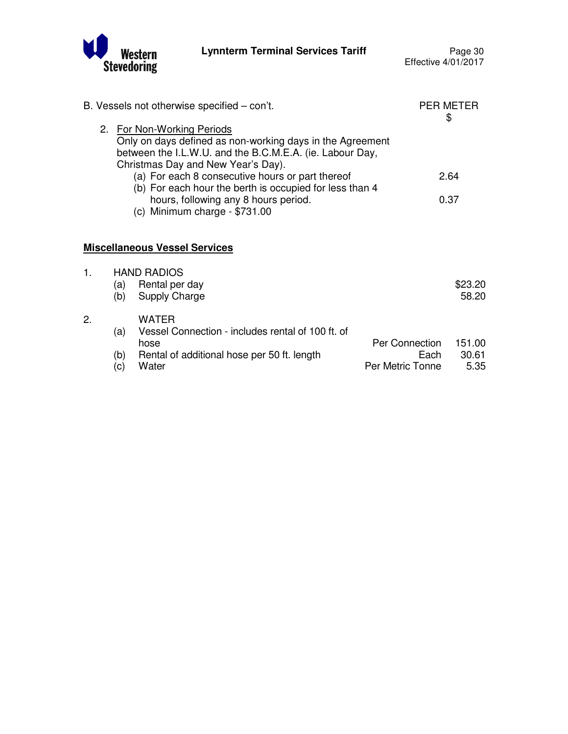

|    |     | B. Vessels not otherwise specified - con't.                                                                                                                                               |                  | <b>PER METER</b><br>\$ |
|----|-----|-------------------------------------------------------------------------------------------------------------------------------------------------------------------------------------------|------------------|------------------------|
|    |     | 2. For Non-Working Periods<br>Only on days defined as non-working days in the Agreement<br>between the I.L.W.U. and the B.C.M.E.A. (ie. Labour Day,<br>Christmas Day and New Year's Day). |                  |                        |
|    |     | (a) For each 8 consecutive hours or part thereof<br>(b) For each hour the berth is occupied for less than 4                                                                               |                  | 2.64                   |
|    |     | hours, following any 8 hours period.<br>(c) Minimum charge $-$ \$731.00                                                                                                                   |                  | 0.37                   |
|    |     | <b>Miscellaneous Vessel Services</b>                                                                                                                                                      |                  |                        |
| 1. | (a) | <b>HAND RADIOS</b><br>Rental per day                                                                                                                                                      |                  | \$23.20                |
|    | (b) | Supply Charge                                                                                                                                                                             |                  | 58.20                  |
| 2. | (a) | <b>WATER</b><br>Vessel Connection - includes rental of 100 ft. of                                                                                                                         |                  |                        |
|    |     | hose                                                                                                                                                                                      | Per Connection   | 151.00                 |
|    | (b) | Rental of additional hose per 50 ft. length                                                                                                                                               | Each             | 30.61                  |
|    | (c) | Water                                                                                                                                                                                     | Per Metric Tonne | 5.35                   |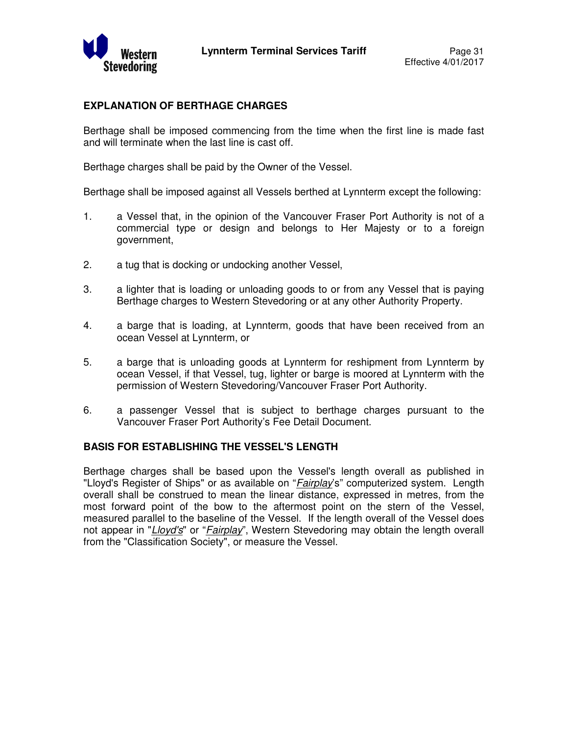

## **EXPLANATION OF BERTHAGE CHARGES**

Berthage shall be imposed commencing from the time when the first line is made fast and will terminate when the last line is cast off.

Berthage charges shall be paid by the Owner of the Vessel.

Berthage shall be imposed against all Vessels berthed at Lynnterm except the following:

- 1. a Vessel that, in the opinion of the Vancouver Fraser Port Authority is not of a commercial type or design and belongs to Her Majesty or to a foreign government,
- 2. a tug that is docking or undocking another Vessel,
- 3. a lighter that is loading or unloading goods to or from any Vessel that is paying Berthage charges to Western Stevedoring or at any other Authority Property.
- 4. a barge that is loading, at Lynnterm, goods that have been received from an ocean Vessel at Lynnterm, or
- 5. a barge that is unloading goods at Lynnterm for reshipment from Lynnterm by ocean Vessel, if that Vessel, tug, lighter or barge is moored at Lynnterm with the permission of Western Stevedoring/Vancouver Fraser Port Authority.
- 6. a passenger Vessel that is subject to berthage charges pursuant to the Vancouver Fraser Port Authority's Fee Detail Document.

#### **BASIS FOR ESTABLISHING THE VESSEL'S LENGTH**

Berthage charges shall be based upon the Vessel's length overall as published in "Lloyd's Register of Ships" or as available on "*Fairplay*'s" computerized system. Length overall shall be construed to mean the linear distance, expressed in metres, from the most forward point of the bow to the aftermost point on the stern of the Vessel, measured parallel to the baseline of the Vessel. If the length overall of the Vessel does not appear in "Lloyd's" or "Fairplay", Western Stevedoring may obtain the length overall from the "Classification Society", or measure the Vessel.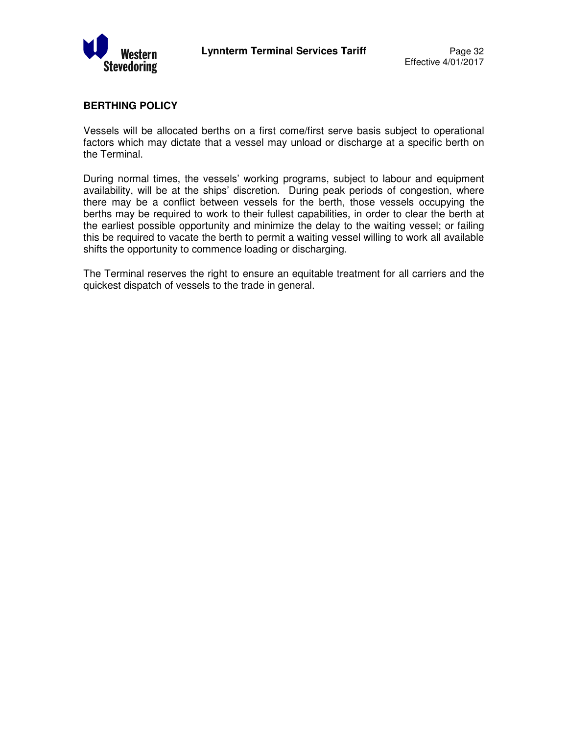

## **BERTHING POLICY**

Vessels will be allocated berths on a first come/first serve basis subject to operational factors which may dictate that a vessel may unload or discharge at a specific berth on the Terminal.

During normal times, the vessels' working programs, subject to labour and equipment availability, will be at the ships' discretion. During peak periods of congestion, where there may be a conflict between vessels for the berth, those vessels occupying the berths may be required to work to their fullest capabilities, in order to clear the berth at the earliest possible opportunity and minimize the delay to the waiting vessel; or failing this be required to vacate the berth to permit a waiting vessel willing to work all available shifts the opportunity to commence loading or discharging.

The Terminal reserves the right to ensure an equitable treatment for all carriers and the quickest dispatch of vessels to the trade in general.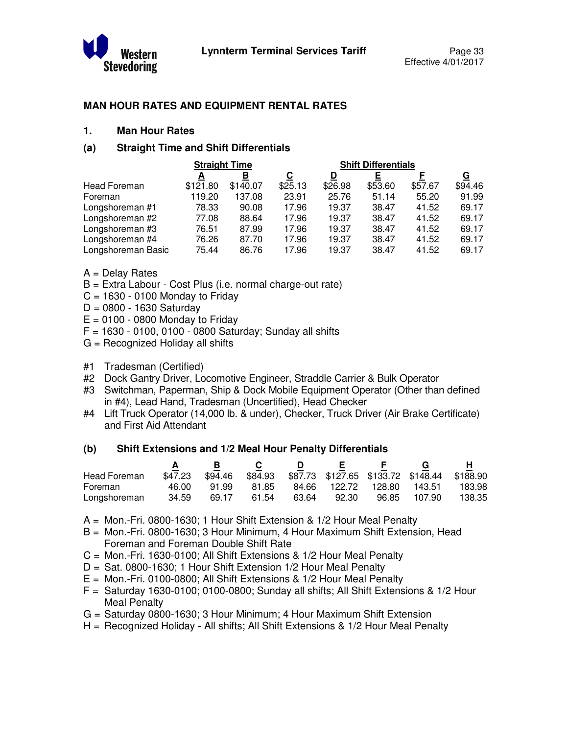

## **MAN HOUR RATES AND EQUIPMENT RENTAL RATES**

#### **1. Man Hour Rates**

## **(a) Straight Time and Shift Differentials**

|                    | <b>Straight Time</b> |          |         | <b>Shift Differentials</b> |         |         |          |
|--------------------|----------------------|----------|---------|----------------------------|---------|---------|----------|
|                    | A                    | в        | С       | D                          |         |         | <u>G</u> |
| Head Foreman       | \$121.80             | \$140.07 | \$25.13 | \$26.98                    | \$53.60 | \$57.67 | \$94.46  |
| Foreman            | 119.20               | 137.08   | 23.91   | 25.76                      | 51.14   | 55.20   | 91.99    |
| Longshoreman #1    | 78.33                | 90.08    | 17.96   | 19.37                      | 38.47   | 41.52   | 69.17    |
| Longshoreman #2    | 77.08                | 88.64    | 17.96   | 19.37                      | 38.47   | 41.52   | 69.17    |
| Longshoreman #3    | 76.51                | 87.99    | 17.96   | 19.37                      | 38.47   | 41.52   | 69.17    |
| Longshoreman #4    | 76.26                | 87.70    | 17.96   | 19.37                      | 38.47   | 41.52   | 69.17    |
| Longshoreman Basic | 75.44                | 86.76    | 17.96   | 19.37                      | 38.47   | 41.52   | 69.17    |

- A = Delay Rates
- B = Extra Labour Cost Plus (i.e. normal charge-out rate)
- $C = 1630 0100$  Monday to Friday
- $D = 0800 1630$  Saturday
- $E = 0100 0800$  Monday to Friday
- $F = 1630 0100$ , 0100 0800 Saturday; Sunday all shifts
- G = Recognized Holiday all shifts
- #1 Tradesman (Certified)
- #2 Dock Gantry Driver, Locomotive Engineer, Straddle Carrier & Bulk Operator
- #3 Switchman, Paperman, Ship & Dock Mobile Equipment Operator (Other than defined in #4), Lead Hand, Tradesman (Uncertified), Head Checker
- #4 Lift Truck Operator (14,000 lb. & under), Checker, Truck Driver (Air Brake Certificate) and First Aid Attendant

#### **(b) Shift Extensions and 1/2 Meal Hour Penalty Differentials**

|              |         |         |         |       | E.           |        |                                             |        |
|--------------|---------|---------|---------|-------|--------------|--------|---------------------------------------------|--------|
| Head Foreman | \$47.23 | \$94.46 | \$84.93 |       |              |        | \$87.73 \$127.65 \$133.72 \$148.44 \$188.90 |        |
| Foreman      | 46.00   | 91.99   | 81.85   |       | 84.66 122.72 | 128.80 | 143.51                                      | 183.98 |
| Longshoreman | 34.59   | 69.17   | 61.54   | 63.64 | 92.30        | 96.85  | 107.90                                      | 138.35 |

- A = Mon.-Fri. 0800-1630; 1 Hour Shift Extension & 1/2 Hour Meal Penalty
- B = Mon.-Fri. 0800-1630; 3 Hour Minimum, 4 Hour Maximum Shift Extension, Head Foreman and Foreman Double Shift Rate
- C = Mon.-Fri. 1630-0100; All Shift Extensions & 1/2 Hour Meal Penalty
- D = Sat. 0800-1630; 1 Hour Shift Extension 1/2 Hour Meal Penalty
- E = Mon.-Fri. 0100-0800; All Shift Extensions & 1/2 Hour Meal Penalty
- $F =$  Saturday 1630-0100; 0100-0800; Sunday all shifts; All Shift Extensions & 1/2 Hour Meal Penalty
- G = Saturday 0800-1630; 3 Hour Minimum; 4 Hour Maximum Shift Extension
- H = Recognized Holiday All shifts; All Shift Extensions & 1/2 Hour Meal Penalty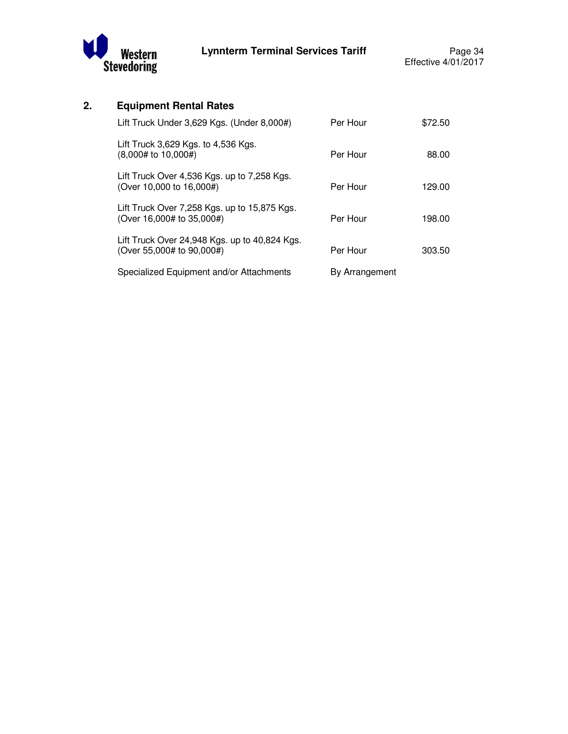

## **2. Equipment Rental Rates**

| Lift Truck Under 3,629 Kgs. (Under 8,000#)                                 | Per Hour       | \$72.50 |
|----------------------------------------------------------------------------|----------------|---------|
| Lift Truck 3,629 Kgs. to 4,536 Kgs.<br>(8,000# to 10,000#)                 | Per Hour       | 88.00   |
| Lift Truck Over 4,536 Kgs. up to 7,258 Kgs.<br>(Over 10,000 to 16,000#)    | Per Hour       | 129.00  |
| Lift Truck Over 7,258 Kgs. up to 15,875 Kgs.<br>(Over 16,000# to 35,000#)  | Per Hour       | 198.00  |
| Lift Truck Over 24,948 Kgs. up to 40,824 Kgs.<br>(Over 55,000# to 90,000#) | Per Hour       | 303.50  |
| Specialized Equipment and/or Attachments                                   | By Arrangement |         |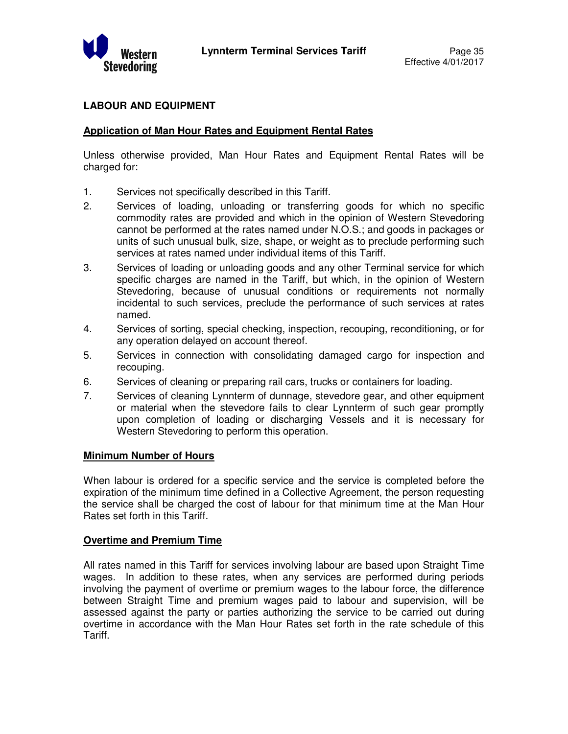

## **LABOUR AND EQUIPMENT**

## **Application of Man Hour Rates and Equipment Rental Rates**

Unless otherwise provided, Man Hour Rates and Equipment Rental Rates will be charged for:

- 1. Services not specifically described in this Tariff.
- 2. Services of loading, unloading or transferring goods for which no specific commodity rates are provided and which in the opinion of Western Stevedoring cannot be performed at the rates named under N.O.S.; and goods in packages or units of such unusual bulk, size, shape, or weight as to preclude performing such services at rates named under individual items of this Tariff.
- 3. Services of loading or unloading goods and any other Terminal service for which specific charges are named in the Tariff, but which, in the opinion of Western Stevedoring, because of unusual conditions or requirements not normally incidental to such services, preclude the performance of such services at rates named.
- 4. Services of sorting, special checking, inspection, recouping, reconditioning, or for any operation delayed on account thereof.
- 5. Services in connection with consolidating damaged cargo for inspection and recouping.
- 6. Services of cleaning or preparing rail cars, trucks or containers for loading.
- 7. Services of cleaning Lynnterm of dunnage, stevedore gear, and other equipment or material when the stevedore fails to clear Lynnterm of such gear promptly upon completion of loading or discharging Vessels and it is necessary for Western Stevedoring to perform this operation.

#### **Minimum Number of Hours**

When labour is ordered for a specific service and the service is completed before the expiration of the minimum time defined in a Collective Agreement, the person requesting the service shall be charged the cost of labour for that minimum time at the Man Hour Rates set forth in this Tariff.

#### **Overtime and Premium Time**

All rates named in this Tariff for services involving labour are based upon Straight Time wages. In addition to these rates, when any services are performed during periods involving the payment of overtime or premium wages to the labour force, the difference between Straight Time and premium wages paid to labour and supervision, will be assessed against the party or parties authorizing the service to be carried out during overtime in accordance with the Man Hour Rates set forth in the rate schedule of this Tariff.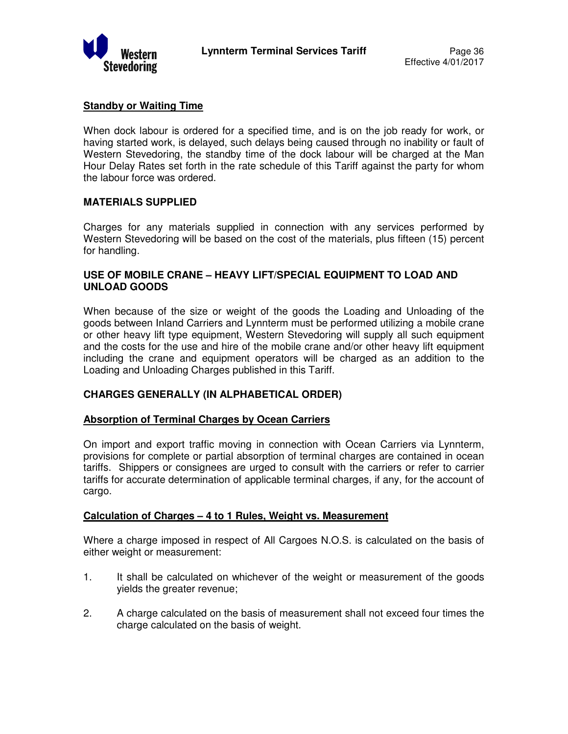

## **Standby or Waiting Time**

When dock labour is ordered for a specified time, and is on the job ready for work, or having started work, is delayed, such delays being caused through no inability or fault of Western Stevedoring, the standby time of the dock labour will be charged at the Man Hour Delay Rates set forth in the rate schedule of this Tariff against the party for whom the labour force was ordered.

### **MATERIALS SUPPLIED**

Charges for any materials supplied in connection with any services performed by Western Stevedoring will be based on the cost of the materials, plus fifteen (15) percent for handling.

## **USE OF MOBILE CRANE – HEAVY LIFT/SPECIAL EQUIPMENT TO LOAD AND UNLOAD GOODS**

When because of the size or weight of the goods the Loading and Unloading of the goods between Inland Carriers and Lynnterm must be performed utilizing a mobile crane or other heavy lift type equipment, Western Stevedoring will supply all such equipment and the costs for the use and hire of the mobile crane and/or other heavy lift equipment including the crane and equipment operators will be charged as an addition to the Loading and Unloading Charges published in this Tariff.

## **CHARGES GENERALLY (IN ALPHABETICAL ORDER)**

#### **Absorption of Terminal Charges by Ocean Carriers**

On import and export traffic moving in connection with Ocean Carriers via Lynnterm, provisions for complete or partial absorption of terminal charges are contained in ocean tariffs. Shippers or consignees are urged to consult with the carriers or refer to carrier tariffs for accurate determination of applicable terminal charges, if any, for the account of cargo.

#### **Calculation of Charges – 4 to 1 Rules, Weight vs. Measurement**

Where a charge imposed in respect of All Cargoes N.O.S. is calculated on the basis of either weight or measurement:

- 1. It shall be calculated on whichever of the weight or measurement of the goods yields the greater revenue;
- 2. A charge calculated on the basis of measurement shall not exceed four times the charge calculated on the basis of weight.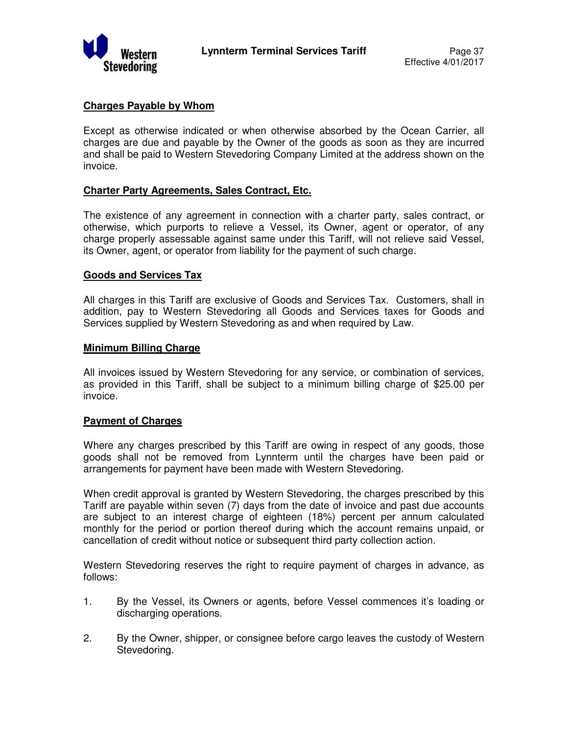

## **Charges Payable by Whom**

Except as otherwise indicated or when otherwise absorbed by the Ocean Carrier, all charges are due and payable by the Owner of the goods as soon as they are incurred and shall be paid to Western Stevedoring Company Limited at the address shown on the invoice.

#### **Charter Party Agreements, Sales Contract, Etc.**

The existence of any agreement in connection with a charter party, sales contract, or otherwise, which purports to relieve a Vessel, its Owner, agent or operator, of any charge properly assessable against same under this Tariff, will not relieve said Vessel, its Owner, agent, or operator from liability for the payment of such charge.

#### **Goods and Services Tax**

All charges in this Tariff are exclusive of Goods and Services Tax. Customers, shall in addition, pay to Western Stevedoring all Goods and Services taxes for Goods and Services supplied by Western Stevedoring as and when required by Law.

#### **Minimum Billing Charge**

All invoices issued by Western Stevedoring for any service, or combination of services, as provided in this Tariff, shall be subject to a minimum billing charge of \$25.00 per invoice.

#### **Payment of Charges**

Where any charges prescribed by this Tariff are owing in respect of any goods, those goods shall not be removed from Lynnterm until the charges have been paid or arrangements for payment have been made with Western Stevedoring.

When credit approval is granted by Western Stevedoring, the charges prescribed by this Tariff are payable within seven (7) days from the date of invoice and past due accounts are subject to an interest charge of eighteen (18%) percent per annum calculated monthly for the period or portion thereof during which the account remains unpaid, or cancellation of credit without notice or subsequent third party collection action.

Western Stevedoring reserves the right to require payment of charges in advance, as follows:

- 1. By the Vessel, its Owners or agents, before Vessel commences it's loading or discharging operations.
- 2. By the Owner, shipper, or consignee before cargo leaves the custody of Western Stevedoring.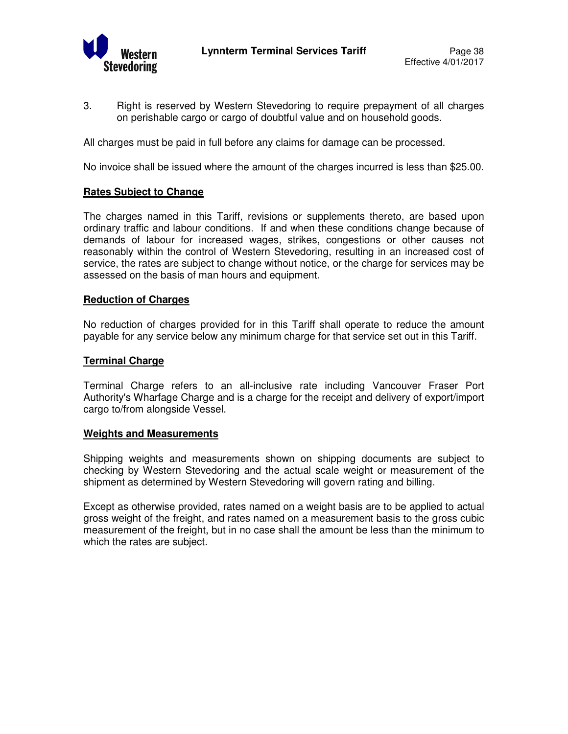

3. Right is reserved by Western Stevedoring to require prepayment of all charges on perishable cargo or cargo of doubtful value and on household goods.

All charges must be paid in full before any claims for damage can be processed.

No invoice shall be issued where the amount of the charges incurred is less than \$25.00.

#### **Rates Subject to Change**

The charges named in this Tariff, revisions or supplements thereto, are based upon ordinary traffic and labour conditions. If and when these conditions change because of demands of labour for increased wages, strikes, congestions or other causes not reasonably within the control of Western Stevedoring, resulting in an increased cost of service, the rates are subject to change without notice, or the charge for services may be assessed on the basis of man hours and equipment.

#### **Reduction of Charges**

No reduction of charges provided for in this Tariff shall operate to reduce the amount payable for any service below any minimum charge for that service set out in this Tariff.

#### **Terminal Charge**

Terminal Charge refers to an all-inclusive rate including Vancouver Fraser Port Authority's Wharfage Charge and is a charge for the receipt and delivery of export/import cargo to/from alongside Vessel.

#### **Weights and Measurements**

Shipping weights and measurements shown on shipping documents are subject to checking by Western Stevedoring and the actual scale weight or measurement of the shipment as determined by Western Stevedoring will govern rating and billing.

Except as otherwise provided, rates named on a weight basis are to be applied to actual gross weight of the freight, and rates named on a measurement basis to the gross cubic measurement of the freight, but in no case shall the amount be less than the minimum to which the rates are subject.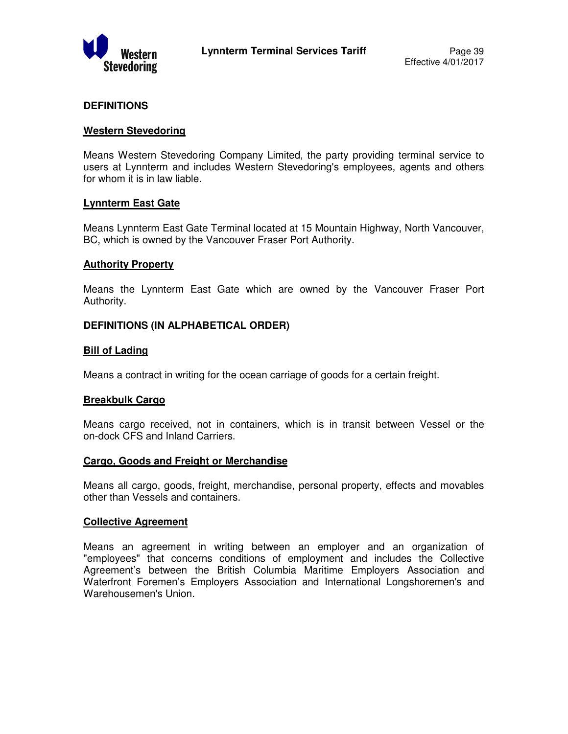

## **DEFINITIONS**

#### **Western Stevedoring**

Means Western Stevedoring Company Limited, the party providing terminal service to users at Lynnterm and includes Western Stevedoring's employees, agents and others for whom it is in law liable.

#### **Lynnterm East Gate**

Means Lynnterm East Gate Terminal located at 15 Mountain Highway, North Vancouver, BC, which is owned by the Vancouver Fraser Port Authority.

### **Authority Property**

Means the Lynnterm East Gate which are owned by the Vancouver Fraser Port Authority.

### **DEFINITIONS (IN ALPHABETICAL ORDER)**

### **Bill of Lading**

Means a contract in writing for the ocean carriage of goods for a certain freight.

#### **Breakbulk Cargo**

Means cargo received, not in containers, which is in transit between Vessel or the on-dock CFS and Inland Carriers.

#### **Cargo, Goods and Freight or Merchandise**

Means all cargo, goods, freight, merchandise, personal property, effects and movables other than Vessels and containers.

#### **Collective Agreement**

Means an agreement in writing between an employer and an organization of "employees" that concerns conditions of employment and includes the Collective Agreement's between the British Columbia Maritime Employers Association and Waterfront Foremen's Employers Association and International Longshoremen's and Warehousemen's Union.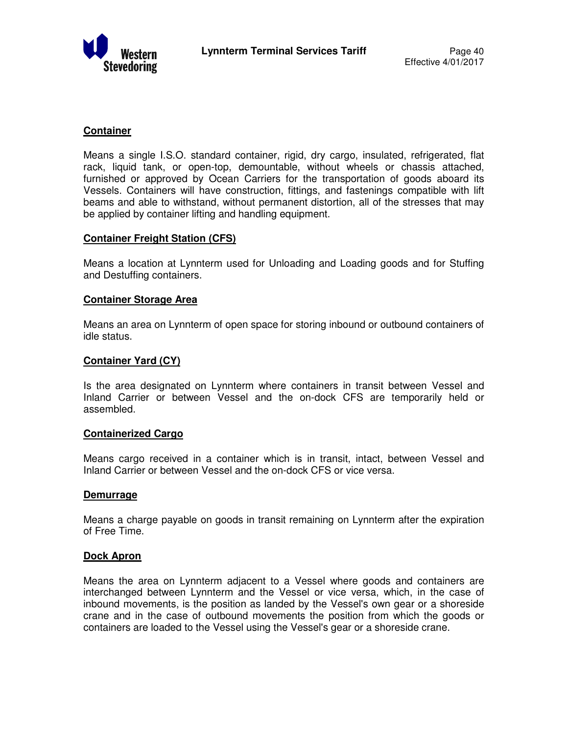

## **Container**

Means a single I.S.O. standard container, rigid, dry cargo, insulated, refrigerated, flat rack, liquid tank, or open-top, demountable, without wheels or chassis attached, furnished or approved by Ocean Carriers for the transportation of goods aboard its Vessels. Containers will have construction, fittings, and fastenings compatible with lift beams and able to withstand, without permanent distortion, all of the stresses that may be applied by container lifting and handling equipment.

#### **Container Freight Station (CFS)**

Means a location at Lynnterm used for Unloading and Loading goods and for Stuffing and Destuffing containers.

#### **Container Storage Area**

Means an area on Lynnterm of open space for storing inbound or outbound containers of idle status.

#### **Container Yard (CY)**

Is the area designated on Lynnterm where containers in transit between Vessel and Inland Carrier or between Vessel and the on-dock CFS are temporarily held or assembled.

#### **Containerized Cargo**

Means cargo received in a container which is in transit, intact, between Vessel and Inland Carrier or between Vessel and the on-dock CFS or vice versa.

#### **Demurrage**

Means a charge payable on goods in transit remaining on Lynnterm after the expiration of Free Time.

#### **Dock Apron**

Means the area on Lynnterm adjacent to a Vessel where goods and containers are interchanged between Lynnterm and the Vessel or vice versa, which, in the case of inbound movements, is the position as landed by the Vessel's own gear or a shoreside crane and in the case of outbound movements the position from which the goods or containers are loaded to the Vessel using the Vessel's gear or a shoreside crane.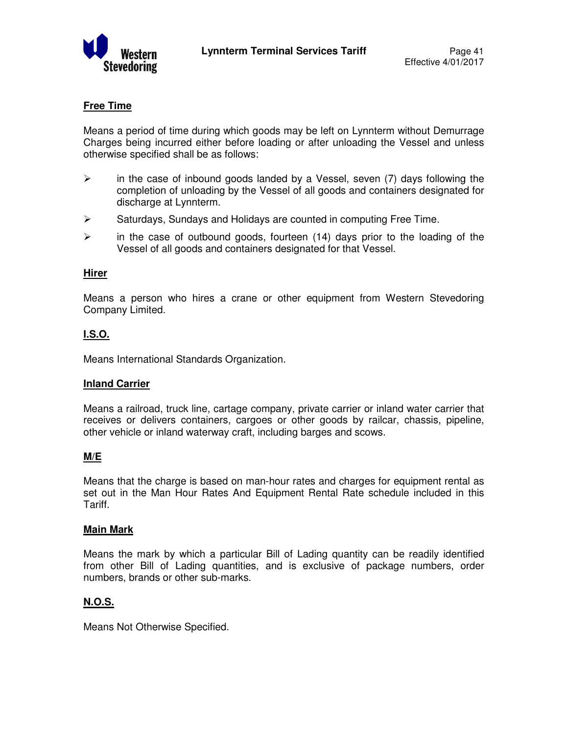

## **Free Time**

Means a period of time during which goods may be left on Lynnterm without Demurrage Charges being incurred either before loading or after unloading the Vessel and unless otherwise specified shall be as follows:

- $\triangleright$  in the case of inbound goods landed by a Vessel, seven (7) days following the completion of unloading by the Vessel of all goods and containers designated for discharge at Lynnterm.
- $\triangleright$  Saturdays, Sundays and Holidays are counted in computing Free Time.
- $\triangleright$  in the case of outbound goods, fourteen (14) days prior to the loading of the Vessel of all goods and containers designated for that Vessel.

### **Hirer**

Means a person who hires a crane or other equipment from Western Stevedoring Company Limited.

## **I.S.O.**

Means International Standards Organization.

#### **Inland Carrier**

Means a railroad, truck line, cartage company, private carrier or inland water carrier that receives or delivers containers, cargoes or other goods by railcar, chassis, pipeline, other vehicle or inland waterway craft, including barges and scows.

## **M/E**

Means that the charge is based on man-hour rates and charges for equipment rental as set out in the Man Hour Rates And Equipment Rental Rate schedule included in this Tariff.

#### **Main Mark**

Means the mark by which a particular Bill of Lading quantity can be readily identified from other Bill of Lading quantities, and is exclusive of package numbers, order numbers, brands or other sub-marks.

## **N.O.S.**

Means Not Otherwise Specified.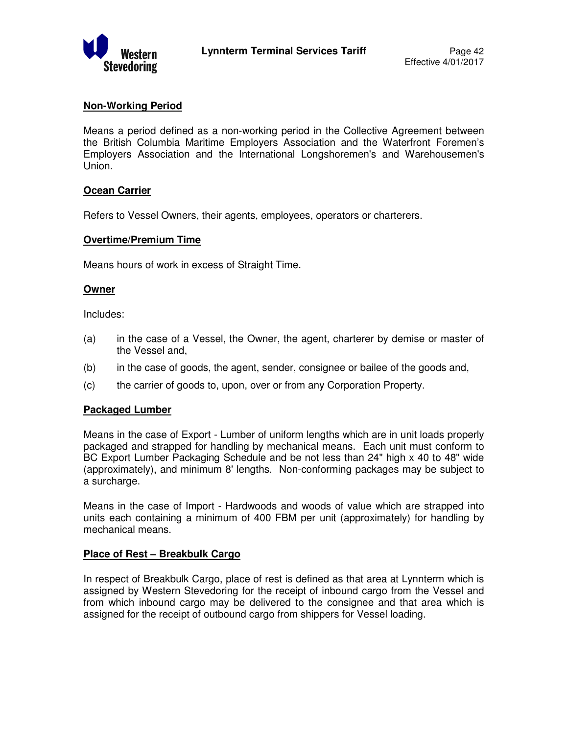

## **Non-Working Period**

Means a period defined as a non-working period in the Collective Agreement between the British Columbia Maritime Employers Association and the Waterfront Foremen's Employers Association and the International Longshoremen's and Warehousemen's Union.

## **Ocean Carrier**

Refers to Vessel Owners, their agents, employees, operators or charterers.

### **Overtime/Premium Time**

Means hours of work in excess of Straight Time.

### **Owner**

Includes:

- (a) in the case of a Vessel, the Owner, the agent, charterer by demise or master of the Vessel and,
- (b) in the case of goods, the agent, sender, consignee or bailee of the goods and,
- (c) the carrier of goods to, upon, over or from any Corporation Property.

#### **Packaged Lumber**

Means in the case of Export - Lumber of uniform lengths which are in unit loads properly packaged and strapped for handling by mechanical means. Each unit must conform to BC Export Lumber Packaging Schedule and be not less than 24" high x 40 to 48" wide (approximately), and minimum 8' lengths. Non-conforming packages may be subject to a surcharge.

Means in the case of Import - Hardwoods and woods of value which are strapped into units each containing a minimum of 400 FBM per unit (approximately) for handling by mechanical means.

## **Place of Rest – Breakbulk Cargo**

In respect of Breakbulk Cargo, place of rest is defined as that area at Lynnterm which is assigned by Western Stevedoring for the receipt of inbound cargo from the Vessel and from which inbound cargo may be delivered to the consignee and that area which is assigned for the receipt of outbound cargo from shippers for Vessel loading.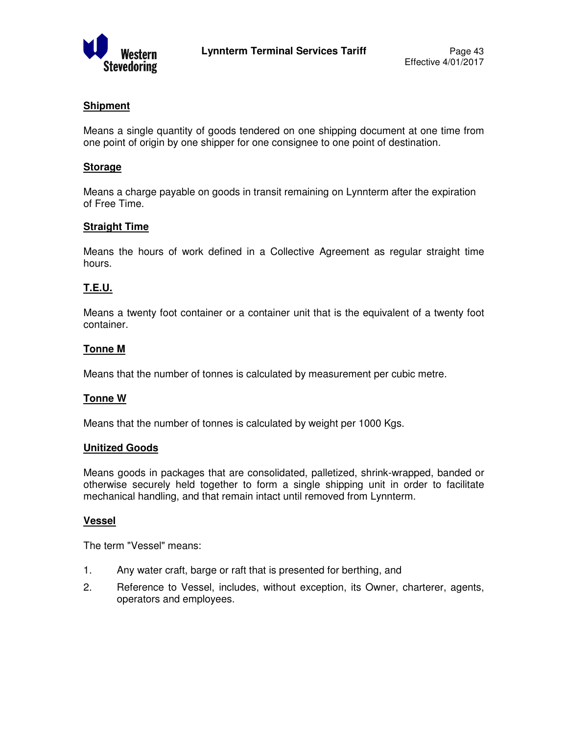

## **Shipment**

Means a single quantity of goods tendered on one shipping document at one time from one point of origin by one shipper for one consignee to one point of destination.

## **Storage**

Means a charge payable on goods in transit remaining on Lynnterm after the expiration of Free Time.

## **Straight Time**

Means the hours of work defined in a Collective Agreement as regular straight time hours.

## **T.E.U.**

Means a twenty foot container or a container unit that is the equivalent of a twenty foot container.

### **Tonne M**

Means that the number of tonnes is calculated by measurement per cubic metre.

#### **Tonne W**

Means that the number of tonnes is calculated by weight per 1000 Kgs.

#### **Unitized Goods**

Means goods in packages that are consolidated, palletized, shrink-wrapped, banded or otherwise securely held together to form a single shipping unit in order to facilitate mechanical handling, and that remain intact until removed from Lynnterm.

#### **Vessel**

The term "Vessel" means:

- 1. Any water craft, barge or raft that is presented for berthing, and
- 2. Reference to Vessel, includes, without exception, its Owner, charterer, agents, operators and employees.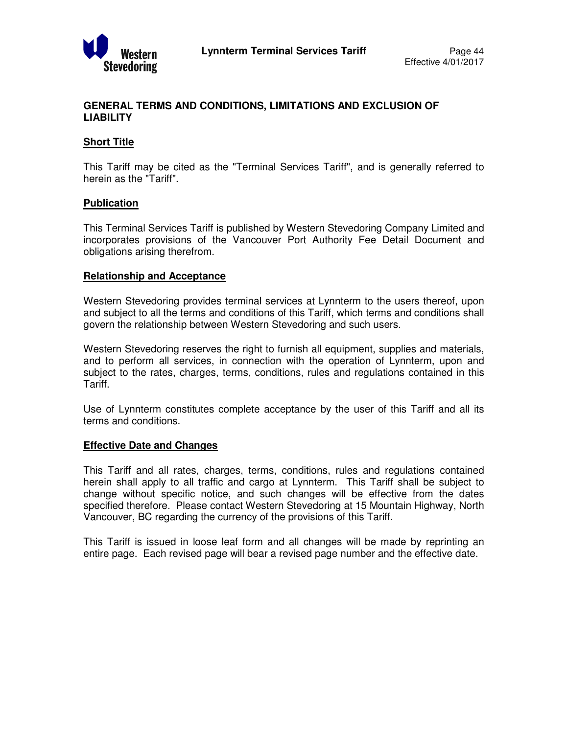

## **GENERAL TERMS AND CONDITIONS, LIMITATIONS AND EXCLUSION OF LIABILITY**

## **Short Title**

This Tariff may be cited as the "Terminal Services Tariff", and is generally referred to herein as the "Tariff".

#### **Publication**

This Terminal Services Tariff is published by Western Stevedoring Company Limited and incorporates provisions of the Vancouver Port Authority Fee Detail Document and obligations arising therefrom.

#### **Relationship and Acceptance**

Western Stevedoring provides terminal services at Lynnterm to the users thereof, upon and subject to all the terms and conditions of this Tariff, which terms and conditions shall govern the relationship between Western Stevedoring and such users.

Western Stevedoring reserves the right to furnish all equipment, supplies and materials, and to perform all services, in connection with the operation of Lynnterm, upon and subject to the rates, charges, terms, conditions, rules and regulations contained in this Tariff.

Use of Lynnterm constitutes complete acceptance by the user of this Tariff and all its terms and conditions.

#### **Effective Date and Changes**

This Tariff and all rates, charges, terms, conditions, rules and regulations contained herein shall apply to all traffic and cargo at Lynnterm. This Tariff shall be subject to change without specific notice, and such changes will be effective from the dates specified therefore. Please contact Western Stevedoring at 15 Mountain Highway, North Vancouver, BC regarding the currency of the provisions of this Tariff.

This Tariff is issued in loose leaf form and all changes will be made by reprinting an entire page. Each revised page will bear a revised page number and the effective date.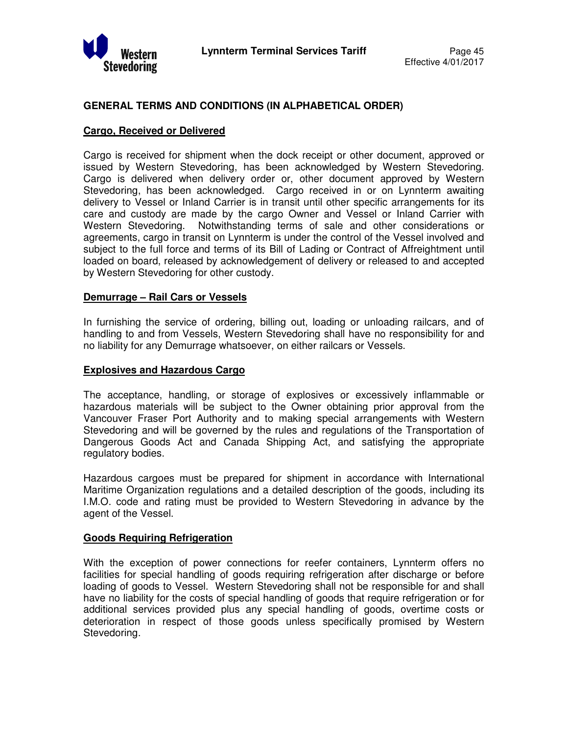

## **GENERAL TERMS AND CONDITIONS (IN ALPHABETICAL ORDER)**

### **Cargo, Received or Delivered**

Cargo is received for shipment when the dock receipt or other document, approved or issued by Western Stevedoring, has been acknowledged by Western Stevedoring. Cargo is delivered when delivery order or, other document approved by Western Stevedoring, has been acknowledged. Cargo received in or on Lynnterm awaiting delivery to Vessel or Inland Carrier is in transit until other specific arrangements for its care and custody are made by the cargo Owner and Vessel or Inland Carrier with Western Stevedoring. Notwithstanding terms of sale and other considerations or agreements, cargo in transit on Lynnterm is under the control of the Vessel involved and subject to the full force and terms of its Bill of Lading or Contract of Affreightment until loaded on board, released by acknowledgement of delivery or released to and accepted by Western Stevedoring for other custody.

### **Demurrage – Rail Cars or Vessels**

In furnishing the service of ordering, billing out, loading or unloading railcars, and of handling to and from Vessels, Western Stevedoring shall have no responsibility for and no liability for any Demurrage whatsoever, on either railcars or Vessels.

#### **Explosives and Hazardous Cargo**

The acceptance, handling, or storage of explosives or excessively inflammable or hazardous materials will be subject to the Owner obtaining prior approval from the Vancouver Fraser Port Authority and to making special arrangements with Western Stevedoring and will be governed by the rules and regulations of the Transportation of Dangerous Goods Act and Canada Shipping Act, and satisfying the appropriate regulatory bodies.

Hazardous cargoes must be prepared for shipment in accordance with International Maritime Organization regulations and a detailed description of the goods, including its I.M.O. code and rating must be provided to Western Stevedoring in advance by the agent of the Vessel.

## **Goods Requiring Refrigeration**

With the exception of power connections for reefer containers, Lynnterm offers no facilities for special handling of goods requiring refrigeration after discharge or before loading of goods to Vessel. Western Stevedoring shall not be responsible for and shall have no liability for the costs of special handling of goods that require refrigeration or for additional services provided plus any special handling of goods, overtime costs or deterioration in respect of those goods unless specifically promised by Western Stevedoring.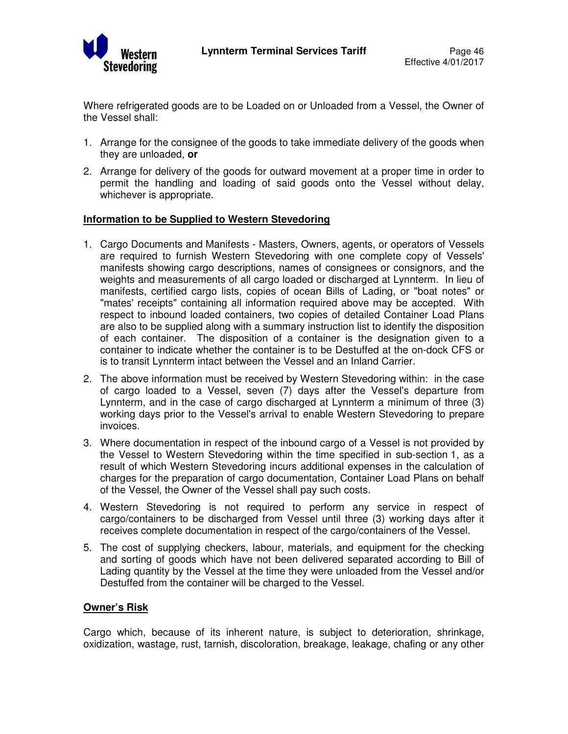

Where refrigerated goods are to be Loaded on or Unloaded from a Vessel, the Owner of the Vessel shall:

- 1. Arrange for the consignee of the goods to take immediate delivery of the goods when they are unloaded, **or**
- 2. Arrange for delivery of the goods for outward movement at a proper time in order to permit the handling and loading of said goods onto the Vessel without delay, whichever is appropriate.

### **Information to be Supplied to Western Stevedoring**

- 1. Cargo Documents and Manifests Masters, Owners, agents, or operators of Vessels are required to furnish Western Stevedoring with one complete copy of Vessels' manifests showing cargo descriptions, names of consignees or consignors, and the weights and measurements of all cargo loaded or discharged at Lynnterm. In lieu of manifests, certified cargo lists, copies of ocean Bills of Lading, or "boat notes" or "mates' receipts" containing all information required above may be accepted. With respect to inbound loaded containers, two copies of detailed Container Load Plans are also to be supplied along with a summary instruction list to identify the disposition of each container. The disposition of a container is the designation given to a container to indicate whether the container is to be Destuffed at the on-dock CFS or is to transit Lynnterm intact between the Vessel and an Inland Carrier.
- 2. The above information must be received by Western Stevedoring within: in the case of cargo loaded to a Vessel, seven (7) days after the Vessel's departure from Lynnterm, and in the case of cargo discharged at Lynnterm a minimum of three (3) working days prior to the Vessel's arrival to enable Western Stevedoring to prepare invoices.
- 3. Where documentation in respect of the inbound cargo of a Vessel is not provided by the Vessel to Western Stevedoring within the time specified in sub-section 1, as a result of which Western Stevedoring incurs additional expenses in the calculation of charges for the preparation of cargo documentation, Container Load Plans on behalf of the Vessel, the Owner of the Vessel shall pay such costs.
- 4. Western Stevedoring is not required to perform any service in respect of cargo/containers to be discharged from Vessel until three (3) working days after it receives complete documentation in respect of the cargo/containers of the Vessel.
- 5. The cost of supplying checkers, labour, materials, and equipment for the checking and sorting of goods which have not been delivered separated according to Bill of Lading quantity by the Vessel at the time they were unloaded from the Vessel and/or Destuffed from the container will be charged to the Vessel.

## **Owner's Risk**

Cargo which, because of its inherent nature, is subject to deterioration, shrinkage, oxidization, wastage, rust, tarnish, discoloration, breakage, leakage, chafing or any other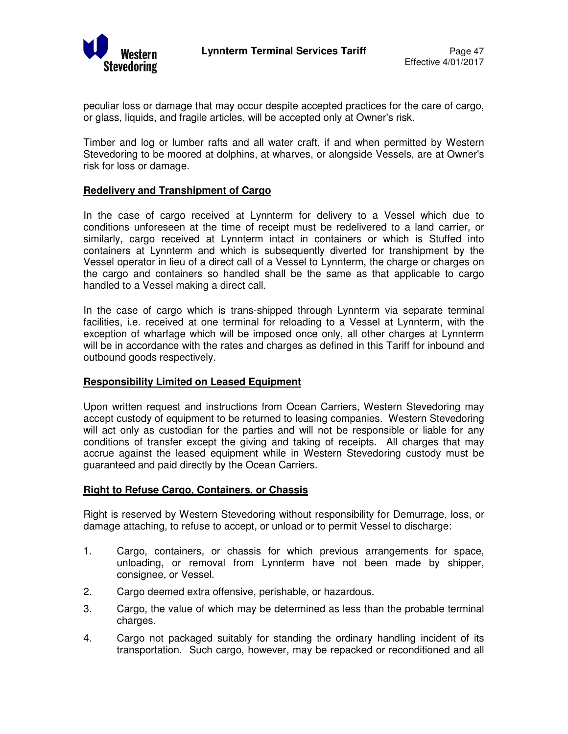

peculiar loss or damage that may occur despite accepted practices for the care of cargo, or glass, liquids, and fragile articles, will be accepted only at Owner's risk.

Timber and log or lumber rafts and all water craft, if and when permitted by Western Stevedoring to be moored at dolphins, at wharves, or alongside Vessels, are at Owner's risk for loss or damage.

## **Redelivery and Transhipment of Cargo**

In the case of cargo received at Lynnterm for delivery to a Vessel which due to conditions unforeseen at the time of receipt must be redelivered to a land carrier, or similarly, cargo received at Lynnterm intact in containers or which is Stuffed into containers at Lynnterm and which is subsequently diverted for transhipment by the Vessel operator in lieu of a direct call of a Vessel to Lynnterm, the charge or charges on the cargo and containers so handled shall be the same as that applicable to cargo handled to a Vessel making a direct call.

In the case of cargo which is trans-shipped through Lynnterm via separate terminal facilities, i.e. received at one terminal for reloading to a Vessel at Lynnterm, with the exception of wharfage which will be imposed once only, all other charges at Lynnterm will be in accordance with the rates and charges as defined in this Tariff for inbound and outbound goods respectively.

#### **Responsibility Limited on Leased Equipment**

Upon written request and instructions from Ocean Carriers, Western Stevedoring may accept custody of equipment to be returned to leasing companies. Western Stevedoring will act only as custodian for the parties and will not be responsible or liable for any conditions of transfer except the giving and taking of receipts. All charges that may accrue against the leased equipment while in Western Stevedoring custody must be guaranteed and paid directly by the Ocean Carriers.

#### **Right to Refuse Cargo, Containers, or Chassis**

Right is reserved by Western Stevedoring without responsibility for Demurrage, loss, or damage attaching, to refuse to accept, or unload or to permit Vessel to discharge:

- 1. Cargo, containers, or chassis for which previous arrangements for space, unloading, or removal from Lynnterm have not been made by shipper, consignee, or Vessel.
- 2. Cargo deemed extra offensive, perishable, or hazardous.
- 3. Cargo, the value of which may be determined as less than the probable terminal charges.
- 4. Cargo not packaged suitably for standing the ordinary handling incident of its transportation. Such cargo, however, may be repacked or reconditioned and all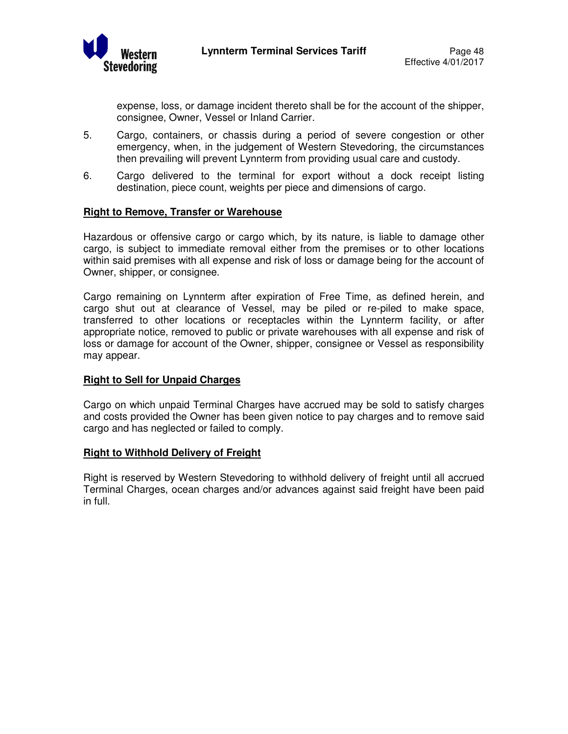

expense, loss, or damage incident thereto shall be for the account of the shipper, consignee, Owner, Vessel or Inland Carrier.

- 5. Cargo, containers, or chassis during a period of severe congestion or other emergency, when, in the judgement of Western Stevedoring, the circumstances then prevailing will prevent Lynnterm from providing usual care and custody.
- 6. Cargo delivered to the terminal for export without a dock receipt listing destination, piece count, weights per piece and dimensions of cargo.

### **Right to Remove, Transfer or Warehouse**

Hazardous or offensive cargo or cargo which, by its nature, is liable to damage other cargo, is subject to immediate removal either from the premises or to other locations within said premises with all expense and risk of loss or damage being for the account of Owner, shipper, or consignee.

Cargo remaining on Lynnterm after expiration of Free Time, as defined herein, and cargo shut out at clearance of Vessel, may be piled or re-piled to make space, transferred to other locations or receptacles within the Lynnterm facility, or after appropriate notice, removed to public or private warehouses with all expense and risk of loss or damage for account of the Owner, shipper, consignee or Vessel as responsibility may appear.

#### **Right to Sell for Unpaid Charges**

Cargo on which unpaid Terminal Charges have accrued may be sold to satisfy charges and costs provided the Owner has been given notice to pay charges and to remove said cargo and has neglected or failed to comply.

#### **Right to Withhold Delivery of Freight**

Right is reserved by Western Stevedoring to withhold delivery of freight until all accrued Terminal Charges, ocean charges and/or advances against said freight have been paid in full.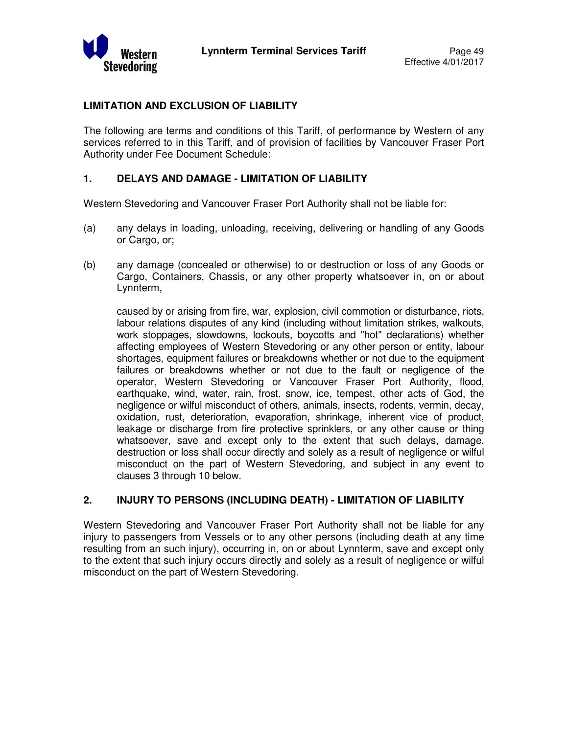

## **LIMITATION AND EXCLUSION OF LIABILITY**

The following are terms and conditions of this Tariff, of performance by Western of any services referred to in this Tariff, and of provision of facilities by Vancouver Fraser Port Authority under Fee Document Schedule:

## **1. DELAYS AND DAMAGE - LIMITATION OF LIABILITY**

Western Stevedoring and Vancouver Fraser Port Authority shall not be liable for:

- (a) any delays in loading, unloading, receiving, delivering or handling of any Goods or Cargo, or;
- (b) any damage (concealed or otherwise) to or destruction or loss of any Goods or Cargo, Containers, Chassis, or any other property whatsoever in, on or about Lynnterm,

caused by or arising from fire, war, explosion, civil commotion or disturbance, riots, labour relations disputes of any kind (including without limitation strikes, walkouts, work stoppages, slowdowns, lockouts, boycotts and "hot" declarations) whether affecting employees of Western Stevedoring or any other person or entity, labour shortages, equipment failures or breakdowns whether or not due to the equipment failures or breakdowns whether or not due to the fault or negligence of the operator, Western Stevedoring or Vancouver Fraser Port Authority, flood, earthquake, wind, water, rain, frost, snow, ice, tempest, other acts of God, the negligence or wilful misconduct of others, animals, insects, rodents, vermin, decay, oxidation, rust, deterioration, evaporation, shrinkage, inherent vice of product, leakage or discharge from fire protective sprinklers, or any other cause or thing whatsoever, save and except only to the extent that such delays, damage, destruction or loss shall occur directly and solely as a result of negligence or wilful misconduct on the part of Western Stevedoring, and subject in any event to clauses 3 through 10 below.

## **2. INJURY TO PERSONS (INCLUDING DEATH) - LIMITATION OF LIABILITY**

Western Stevedoring and Vancouver Fraser Port Authority shall not be liable for any injury to passengers from Vessels or to any other persons (including death at any time resulting from an such injury), occurring in, on or about Lynnterm, save and except only to the extent that such injury occurs directly and solely as a result of negligence or wilful misconduct on the part of Western Stevedoring.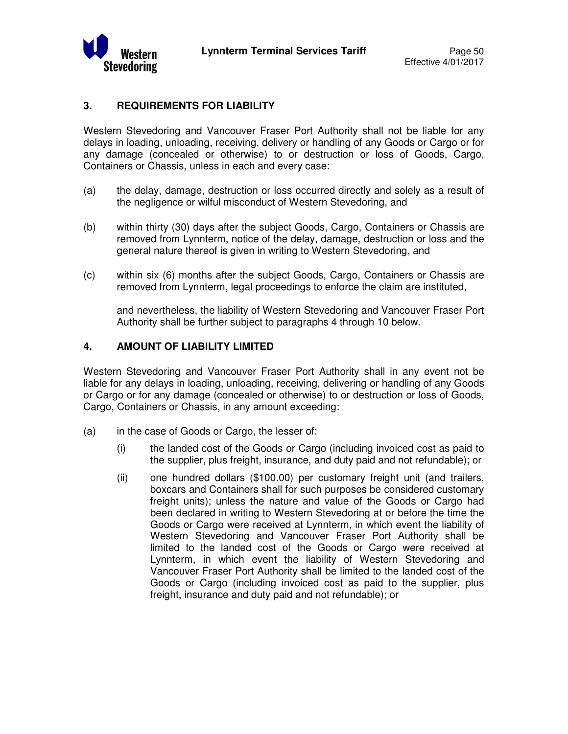

## **3. REQUIREMENTS FOR LIABILITY**

Western Stevedoring and Vancouver Fraser Port Authority shall not be liable for any delays in loading, unloading, receiving, delivery or handling of any Goods or Cargo or for any damage (concealed or otherwise) to or destruction or loss of Goods, Cargo, Containers or Chassis, unless in each and every case:

- (a) the delay, damage, destruction or loss occurred directly and solely as a result of the negligence or wilful misconduct of Western Stevedoring, and
- (b) within thirty (30) days after the subject Goods, Cargo, Containers or Chassis are removed from Lynnterm, notice of the delay, damage, destruction or loss and the general nature thereof is given in writing to Western Stevedoring, and
- (c) within six (6) months after the subject Goods, Cargo, Containers or Chassis are removed from Lynnterm, legal proceedings to enforce the claim are instituted,

and nevertheless, the liability of Western Stevedoring and Vancouver Fraser Port Authority shall be further subject to paragraphs 4 through 10 below.

## **4. AMOUNT OF LIABILITY LIMITED**

Western Stevedoring and Vancouver Fraser Port Authority shall in any event not be liable for any delays in loading, unloading, receiving, delivering or handling of any Goods or Cargo or for any damage (concealed or otherwise) to or destruction or loss of Goods, Cargo, Containers or Chassis, in any amount exceeding:

- (a) in the case of Goods or Cargo, the lesser of:
	- (i) the landed cost of the Goods or Cargo (including invoiced cost as paid to the supplier, plus freight, insurance, and duty paid and not refundable); or
	- (ii) one hundred dollars (\$100.00) per customary freight unit (and trailers, boxcars and Containers shall for such purposes be considered customary freight units); unless the nature and value of the Goods or Cargo had been declared in writing to Western Stevedoring at or before the time the Goods or Cargo were received at Lynnterm, in which event the liability of Western Stevedoring and Vancouver Fraser Port Authority shall be limited to the landed cost of the Goods or Cargo were received at Lynnterm, in which event the liability of Western Stevedoring and Vancouver Fraser Port Authority shall be limited to the landed cost of the Goods or Cargo (including invoiced cost as paid to the supplier, plus freight, insurance and duty paid and not refundable); or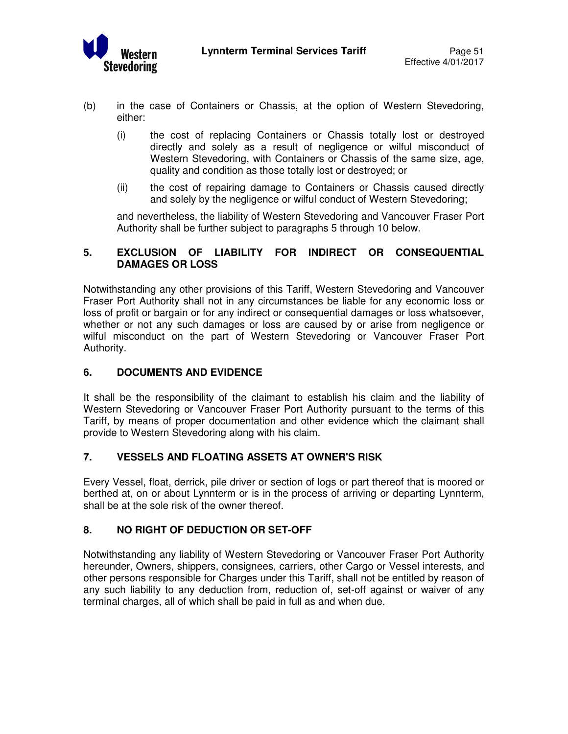

- (b) in the case of Containers or Chassis, at the option of Western Stevedoring, either:
	- (i) the cost of replacing Containers or Chassis totally lost or destroyed directly and solely as a result of negligence or wilful misconduct of Western Stevedoring, with Containers or Chassis of the same size, age, quality and condition as those totally lost or destroyed; or
	- (ii) the cost of repairing damage to Containers or Chassis caused directly and solely by the negligence or wilful conduct of Western Stevedoring;

 and nevertheless, the liability of Western Stevedoring and Vancouver Fraser Port Authority shall be further subject to paragraphs 5 through 10 below.

## **5. EXCLUSION OF LIABILITY FOR INDIRECT OR CONSEQUENTIAL DAMAGES OR LOSS**

Notwithstanding any other provisions of this Tariff, Western Stevedoring and Vancouver Fraser Port Authority shall not in any circumstances be liable for any economic loss or loss of profit or bargain or for any indirect or consequential damages or loss whatsoever, whether or not any such damages or loss are caused by or arise from negligence or wilful misconduct on the part of Western Stevedoring or Vancouver Fraser Port Authority.

## **6. DOCUMENTS AND EVIDENCE**

It shall be the responsibility of the claimant to establish his claim and the liability of Western Stevedoring or Vancouver Fraser Port Authority pursuant to the terms of this Tariff, by means of proper documentation and other evidence which the claimant shall provide to Western Stevedoring along with his claim.

## **7. VESSELS AND FLOATING ASSETS AT OWNER'S RISK**

Every Vessel, float, derrick, pile driver or section of logs or part thereof that is moored or berthed at, on or about Lynnterm or is in the process of arriving or departing Lynnterm, shall be at the sole risk of the owner thereof.

## **8. NO RIGHT OF DEDUCTION OR SET-OFF**

Notwithstanding any liability of Western Stevedoring or Vancouver Fraser Port Authority hereunder, Owners, shippers, consignees, carriers, other Cargo or Vessel interests, and other persons responsible for Charges under this Tariff, shall not be entitled by reason of any such liability to any deduction from, reduction of, set-off against or waiver of any terminal charges, all of which shall be paid in full as and when due.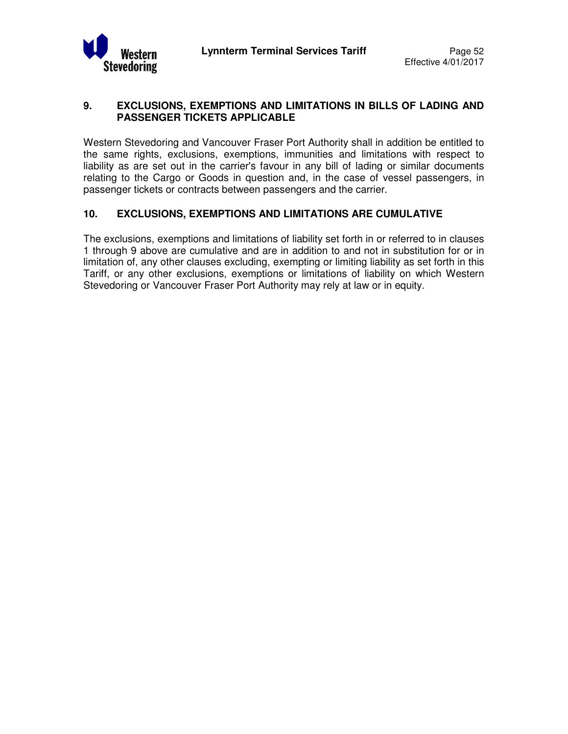

## **9. EXCLUSIONS, EXEMPTIONS AND LIMITATIONS IN BILLS OF LADING AND PASSENGER TICKETS APPLICABLE**

Western Stevedoring and Vancouver Fraser Port Authority shall in addition be entitled to the same rights, exclusions, exemptions, immunities and limitations with respect to liability as are set out in the carrier's favour in any bill of lading or similar documents relating to the Cargo or Goods in question and, in the case of vessel passengers, in passenger tickets or contracts between passengers and the carrier.

## **10. EXCLUSIONS, EXEMPTIONS AND LIMITATIONS ARE CUMULATIVE**

The exclusions, exemptions and limitations of liability set forth in or referred to in clauses 1 through 9 above are cumulative and are in addition to and not in substitution for or in limitation of, any other clauses excluding, exempting or limiting liability as set forth in this Tariff, or any other exclusions, exemptions or limitations of liability on which Western Stevedoring or Vancouver Fraser Port Authority may rely at law or in equity.